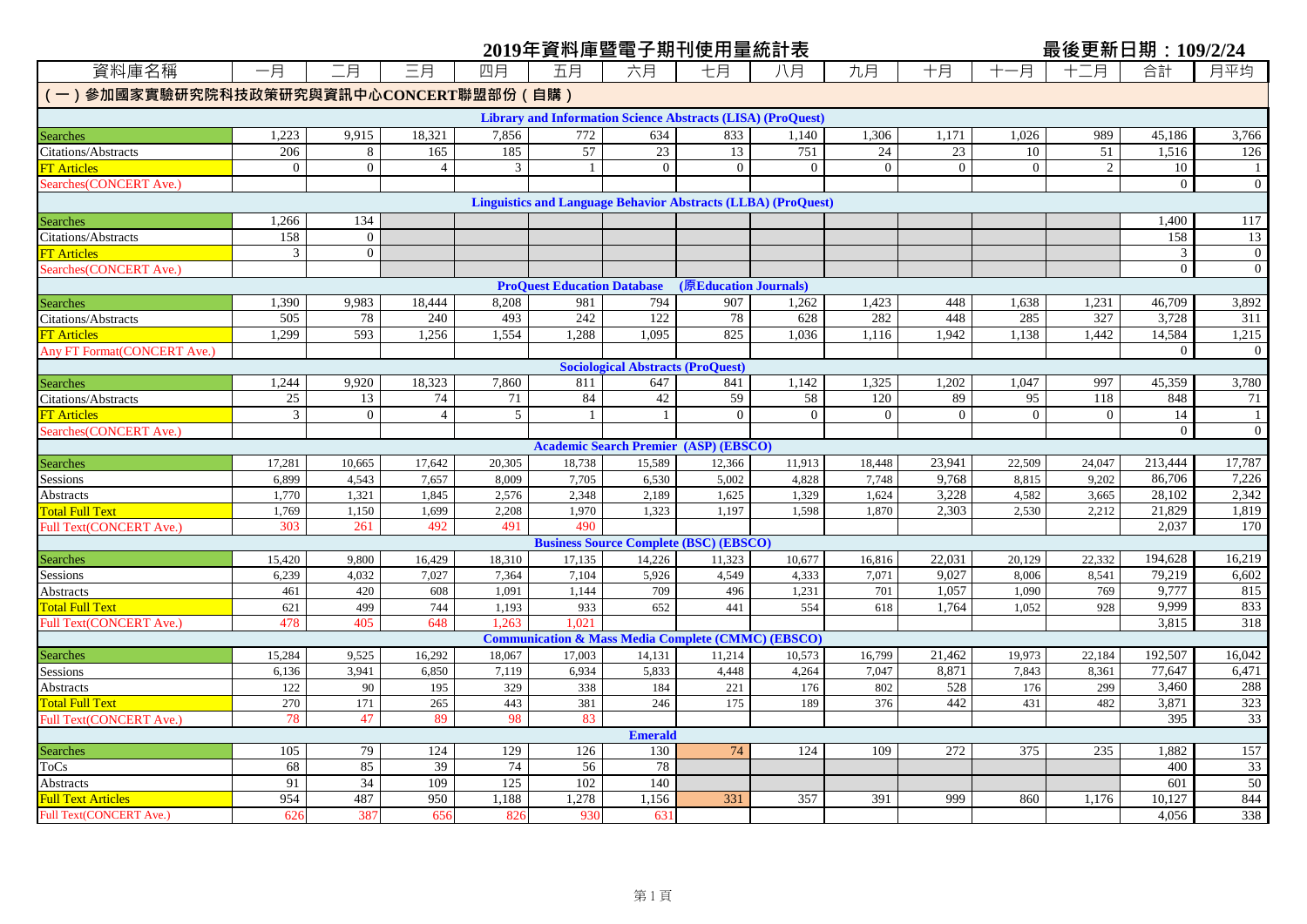|                                          |                |                |                |        | 2019年資料庫暨電子期刊使用量統計表                                           |                                          |                                               |                                                                      |                |                |                | 最後更新日期:109/2/24 |                |                 |
|------------------------------------------|----------------|----------------|----------------|--------|---------------------------------------------------------------|------------------------------------------|-----------------------------------------------|----------------------------------------------------------------------|----------------|----------------|----------------|-----------------|----------------|-----------------|
| 資料庫名稱                                    | 一月             | 二月             | 三月             | 四月     | 五月                                                            | 六月                                       | 七月                                            | 八月                                                                   | 九月             | 十月             | -月             | 十二月             | 合計             | 月平均             |
| 一)參加國家實驗研究院科技政策研究與資訊中心CONCERT聯盟部份 ( 自購 ) |                |                |                |        |                                                               |                                          |                                               |                                                                      |                |                |                |                 |                |                 |
|                                          |                |                |                |        |                                                               |                                          |                                               | <b>Library and Information Science Abstracts (LISA) (ProQuest)</b>   |                |                |                |                 |                |                 |
| Searches                                 | 1,223          | 9,915          | 18,321         | 7,856  | 772                                                           | 634                                      | 833                                           | 1,140                                                                | 1,306          | 1,171          | 1,026          | 989             | 45,186         | 3,766           |
| <b>Citations/Abstracts</b>               | 206            | 8              | 165            | 185    | 57                                                            | 23                                       | 13                                            | 751                                                                  | 24             | 23             | 10             | 51              | 1,516          | 126             |
| T Articles                               | $\overline{0}$ | $\overline{0}$ | $\overline{4}$ | 3      |                                                               | $\overline{0}$                           | $\overline{0}$                                | $\overline{0}$                                                       | $\overline{0}$ | $\mathbf{0}$   | $\overline{0}$ | $\overline{2}$  | 10             | -1              |
| Searches(CONCERT Ave.)                   |                |                |                |        |                                                               |                                          |                                               |                                                                      |                |                |                |                 | $\overline{0}$ | $\mathbf{0}$    |
|                                          |                |                |                |        |                                                               |                                          |                                               | <b>Linguistics and Language Behavior Abstracts (LLBA) (ProQuest)</b> |                |                |                |                 |                |                 |
| Searches                                 | 1,266          | 134            |                |        |                                                               |                                          |                                               |                                                                      |                |                |                |                 | 1.400          | 117             |
| Citations/Abstracts                      | 158            | $\overline{0}$ |                |        |                                                               |                                          |                                               |                                                                      |                |                |                |                 | 158            | 13              |
| T Articles                               | 3              | $\overline{0}$ |                |        |                                                               |                                          |                                               |                                                                      |                |                |                |                 | 3              | $\bf{0}$        |
| earches (CONCERT Ave.)                   |                |                |                |        |                                                               |                                          |                                               |                                                                      |                |                |                |                 | $\theta$       | $\overline{0}$  |
|                                          |                |                |                |        | <b>ProQuest Education Database</b>                            |                                          | (原Education Journals)                         |                                                                      |                |                |                |                 |                |                 |
| Searches                                 | 1,390          | 9,983          | 18,444         | 8,208  | 981                                                           | 794                                      | 907                                           | 1,262                                                                | 1,423          | 448            | 1,638          | 1,231           | 46,709         | 3,892           |
| Citations/Abstracts                      | 505            | 78             | 240            | 493    | 242                                                           | 122                                      | 78                                            | 628                                                                  | 282            | 448            | 285            | 327             | 3,728          | 311             |
| T Articles                               | 1,299          | 593            | 1,256          | 1,554  | 1,288                                                         | 1,095                                    | 825                                           | 1,036                                                                | 1,116          | 1,942          | 1,138          | 1,442           | 14,584         | 1,215           |
| Any FT Format (CONCERT Ave.)             |                |                |                |        |                                                               |                                          |                                               |                                                                      |                |                |                |                 | $\overline{0}$ | $\mathbf{0}$    |
|                                          |                |                |                |        |                                                               | <b>Sociological Abstracts (ProQuest)</b> |                                               |                                                                      |                |                |                |                 |                |                 |
| Searches                                 | 1,244          | 9,920          | 18,323         | 7,860  | 811                                                           | 647                                      | 841                                           | 1,142                                                                | 1,325          | 1,202          | 1,047          | 997             | 45,359         | 3,780           |
| Citations/Abstracts                      | 25             | 13             | 74             | 71     | 84                                                            | 42                                       | 59                                            | 58                                                                   | 120            | 89             | 95             | 118             | 848            | 71              |
| <b>T</b> Articles                        | 3              | $\overline{0}$ | $\overline{4}$ | 5      |                                                               | -1                                       | $\theta$                                      | $\overline{0}$                                                       | $\overline{0}$ | $\overline{0}$ | $\overline{0}$ | $\overline{0}$  | 14             | -1              |
| learches(CONCERT Ave.)                   |                |                |                |        |                                                               |                                          |                                               |                                                                      |                |                |                |                 | $\overline{0}$ | $\overline{0}$  |
|                                          |                |                |                |        |                                                               |                                          | <b>Academic Search Premier (ASP) (EBSCO)</b>  |                                                                      |                |                |                |                 |                |                 |
| <b>Searches</b>                          | 17,281         | 10,665         | 17,642         | 20,305 | 18,738                                                        | 15,589                                   | 12,366                                        | 11,913                                                               | 18,448         | 23,941         | 22,509         | 24,047          | 213,444        | 17,787          |
| Sessions                                 | 6,899          | 4,543          | 7,657          | 8,009  | 7,705                                                         | 6,530                                    | 5,002                                         | 4,828                                                                | 7,748          | 9,768          | 8,815          | 9,202           | 86,706         | 7,226           |
| Abstracts                                | 1,770          | 1,321          | 1,845          | 2,576  | 2,348                                                         | 2,189                                    | 1,625                                         | 1,329                                                                | 1,624          | 3,228          | 4,582          | 3,665           | 28,102         | 2,342           |
| <b>Total Full Text</b>                   | 1,769          | 1,150          | 1,699          | 2,208  | 1,970                                                         | 1,323                                    | 1,197                                         | 1,598                                                                | 1,870          | 2,303          | 2,530          | 2,212           | 21,829         | 1,819           |
| Full Text(CONCERT Ave.)                  | 303            | 261            | 492            | 491    | 490                                                           |                                          |                                               |                                                                      |                |                |                |                 | 2,037          | 170             |
|                                          |                |                |                |        |                                                               |                                          | <b>Business Source Complete (BSC) (EBSCO)</b> |                                                                      |                |                |                |                 |                |                 |
| Searches                                 | 15,420         | 9,800          | 16,429         | 18,310 | 17,135                                                        | 14,226                                   | 11,323                                        | 10,677                                                               | 16,816         | 22,031         | 20,129         | 22,332          | 194,628        | 16,219          |
| Sessions                                 | 6,239          | 4,032          | 7,027          | 7,364  | 7,104                                                         | 5,926                                    | 4,549                                         | 4,333                                                                | 7,071          | 9,027          | 8,006          | 8,541           | 79,219         | 6,602           |
| Abstracts                                | 461            | 420            | 608            | 1,091  | 1,144                                                         | 709                                      | 496                                           | 1,231                                                                | 701            | 1,057          | 1,090          | 769             | 9,777          | 815             |
| <b>Total Full Text</b>                   | 621            | 499            | 744            | 1,193  | 933                                                           | 652                                      | 441                                           | 554                                                                  | 618            | 1,764          | 1,052          | 928             | 9,999          | 833             |
| Full Text(CONCERT Ave.)                  | 478            | 405            | 648            | 1.263  | 1,021                                                         |                                          |                                               |                                                                      |                |                |                |                 | 3,815          | 318             |
|                                          |                |                |                |        | <b>Communication &amp; Mass Media Complete (CMMC) (EBSCO)</b> |                                          |                                               |                                                                      |                |                |                |                 |                |                 |
| <b>Searches</b>                          | 15,284         | 9,525          | 16,292         | 18,067 | 17,003                                                        | 14,131                                   | 11,214                                        | 10,573                                                               | 16,799         | 21,462         | 19,973         | 22,184          | 192,507        | 16,042          |
| Sessions                                 | 6,136          | 3,941          | 6,850          | 7,119  | 6,934                                                         | 5,833                                    | 4,448                                         | 4,264                                                                | 7,047          | 8,871          | 7,843          | 8,361           | 77,647         | 6,471           |
| Abstracts                                | 122            | 90             | 195            | 329    | 338                                                           | 184                                      | 221                                           | 176                                                                  | 802            | 528            | 176            | 299             | 3.460          | 288             |
| <b>Total Full Text</b>                   | 270            | 171            | 265            | 443    | 381                                                           | 246                                      | 175                                           | 189                                                                  | 376            | 442            | 431            | 482             | 3,871          | 323             |
| Full Text(CONCERT Ave.)                  | 78             | 47             | 89             | 98     | 83                                                            |                                          |                                               |                                                                      |                |                |                |                 | 395            | $\overline{33}$ |
|                                          | 105            | 79             | 124            | 129    | 126                                                           | <b>Emerald</b><br>130                    | 74                                            | 124                                                                  | 109            | 272            | 375            | 235             | 1,882          | 157             |
| Searches<br><b>ToCs</b>                  | 68             | 85             | 39             | 74     | 56                                                            | 78                                       |                                               |                                                                      |                |                |                |                 | 400            | 33              |
| Abstracts                                | 91             | 34             | 109            | 125    | 102                                                           | 140                                      |                                               |                                                                      |                |                |                |                 | 601            | 50              |
| <b>Full Text Articles</b>                | 954            | 487            | 950            | 1,188  | 1,278                                                         | 1,156                                    | 331                                           | 357                                                                  | 391            | 999            | 860            | 1,176           | 10,127         | 844             |
| Full Text(CONCERT Ave.)                  | 626            | 387            | 656            | 826    | 930                                                           | 631                                      |                                               |                                                                      |                |                |                |                 | 4.056          | 338             |
|                                          |                |                |                |        |                                                               |                                          |                                               |                                                                      |                |                |                |                 |                |                 |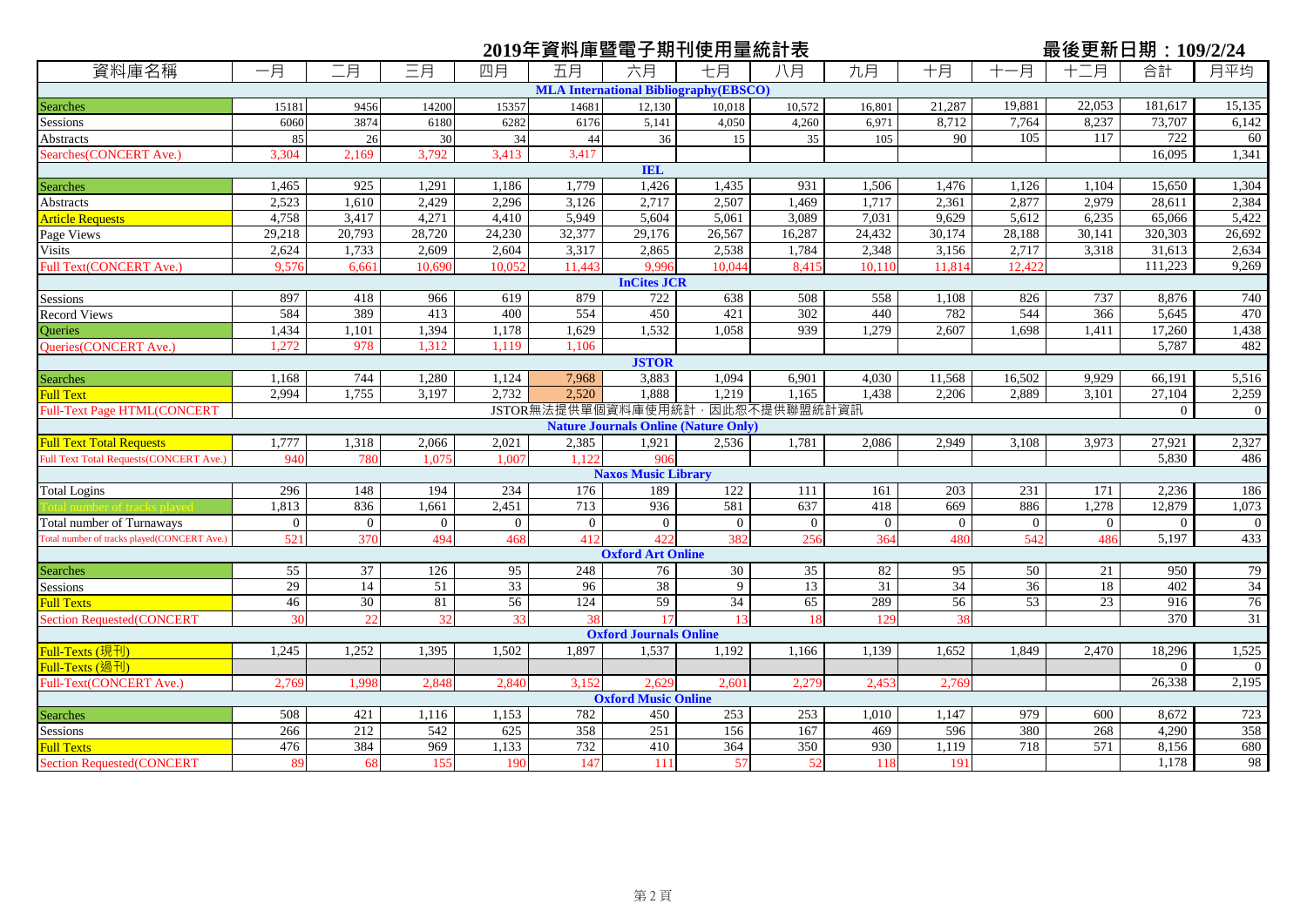## 資料庫名稱 ┃ 一月 ┃ 二月 ┃ 三月 ┃ 四月 ┃ 五月 ┃ 六月 ┃ 七月 ┃ 八月 ┃ 九月 ┃ 十月 ┃ 十一月 ┃ 十二月 ┃ 合計 ┃ 月平均 **2019年資料庫暨電子期刊使用量統計表<br>資料庫名稱 ┃ 一月 ┃ ̄月 ┃ ̄月 ┃ 四月 ┃ 五月 ┃ 六月 ┃ +月 ┃ 九月 ┃ +月 ┃ +一月 ┃ + ̄月 合計 ┃ 月平均** Searches 15181 9456 14200 15357 14681 12,130 10,018 10,572 16,801 21,287 19,881 22,053 181,617 15,135 Sessions 6060 3874 6180 6282 6176 5,141 4,050 4,260 6,971 8,712 7,764 8,237 73,707 6,142 Abstracts 19. 117 22 36 26 30 34 44 36 15 35 105 90 105 117 722 60 Searches(CONCERT Ave.) 3,304 2,169 3,792 3,413 3,417 16,095 1,341 Searches 1,465 925 1,291 1,186 1,779 1,426 1,435 931 1,506 1,476 1,126 1,104 15,650 1,304 Abstracts 1 2,523 1,610 2,429 2,296 3,126 2,717 2,507 1,469 1,717 2,361 2,877 2,877 2,8611 2,384 Article Requests **1** 4,758 3,417 4,271 4,410 5,949 5,604 5,061 3,089 7,031 9,629 5,612 6,235 65,066 5,422 Page Views 29,218 20,793 28,720 24,230 32,377 29,176 26,567 16,287 24,432 30,174 28,188 30,141 320,303 26,692 Visits 2,624 1,733 2,609 2,604 3,317 2,865 2,538 1,784 2,348 3,156 2,717 3,318 31,613 2,634 Full Text(CONCERT Ave.) 9,576 6,661 10,690 10,052 11,443 9,996 10,044 8,415 10,110 11,814 12,422 111,223 9,269 Sessions 897 418 966 619 879 722 638 508 558 1,108 826 737 8,876 740 Record Views 584 389 413 400 554 450 421 302 440 782 544 366 5,645 470 Queries 1,434 1,101 1,394 1,178 1,629 1,532 1,058 939 1,279 2,607 1,698 1,411 17,260 1,438 Queries(CONCERT Ave.) | 1,272 | 978 | 1,312 | 1,119 | 1,106 | | | | | | | | | | | | | | | | 5,787 | | | | | | | Searches 1,168 744 1,280 1,124 7,968 3,883 1,094 6,901 4,030 11,568 16,502 9,929 66,191 5,516 Full Text 2,994 1,755 3,197 2,732 2,520 1,888 1,219 1,165 1,438 2,206 2,889 3,101 27,104 2,259 Full-Text Page HTML(CONCERT 0 0 JSTOR無法提供單個資料庫使用統計,因此恕不提供聯盟統計資訊 Full Text Total Requests 1,777 1,318 2,066 2,021 2,385 1,921 2,536 1,781 2,086 2,949 3,108 3,973 27,921 2,327 Full Text Total Requests(CONCERT Ave.) 940 780 1,075 1,007 1,122 906 5,830 9,960 5,830 1,958 486 Total Logins 194 296 | 148 | 194 | 234 | 176 | 189 | 122 | 111 | 161 | 203 | 231 | 171 | 2,236 | 186 | 186 | 1 Total number of tracks played 1,813 836 1,661 2,451 713 936 581 637 418 669 886 1,278 12,879 1,073 Total number of Turnaways 0 0 0 0 0 0 0 0 0 0 0 0 0 0 otal number of tracks played(CONCERT Ave.) 521 370 494 468 412 422 382 256 364 480 542 486 5.197 433 Searches 55 37 126 95 248 76 30 35 82 95 50 21 950 79 Sessions 29 14 51 33 96 38 9 13 31 34 36 18 402 34 Full Texts 46 30 81 56 124 59 34 65 289 56 53 23 916 76 Section Requested(CONCERT | 30 22 32 33 38 17 13 18 129 38 | 38 | 370 31 <mark>Full-Texts (現刊) </mark> 1,245 | 1,252 | 1,395 | 1,502 | 1,897 | 1,537 | 1,192 | 1,130 | 1,532 | 1,849 | 2,470 | 18,296 | 1,525 Full-Texts (過刊) 0 0 Full-Text(CONCERT Ave.) 2,769 1,998 2,848 2,840 3,152 2,629 2,601 2,279 2,453 2,769 26,338 2,195 Searches 508 508 421 1,116 1,153 782 450 253 253 1,010 1,147 979 600 8,672 723 Sessions 266 212 542 625 358 251 156 167 469 596 380 268 4,290 358 Full Texts 476 384 969 1,133 732 410 364 350 930 1,119 718 571 8,156 680 lection Requested(CONCERT | 89 68 155 190 147 111 57 52 118 191 191 1,178 98 **MLA International Bibliography(EBSCO) IEL InCites JCR JSTOR Nature Journals Online (Nature Only) Naxos Music Library Oxford Art Online Oxford Journals Online Oxford Music Online**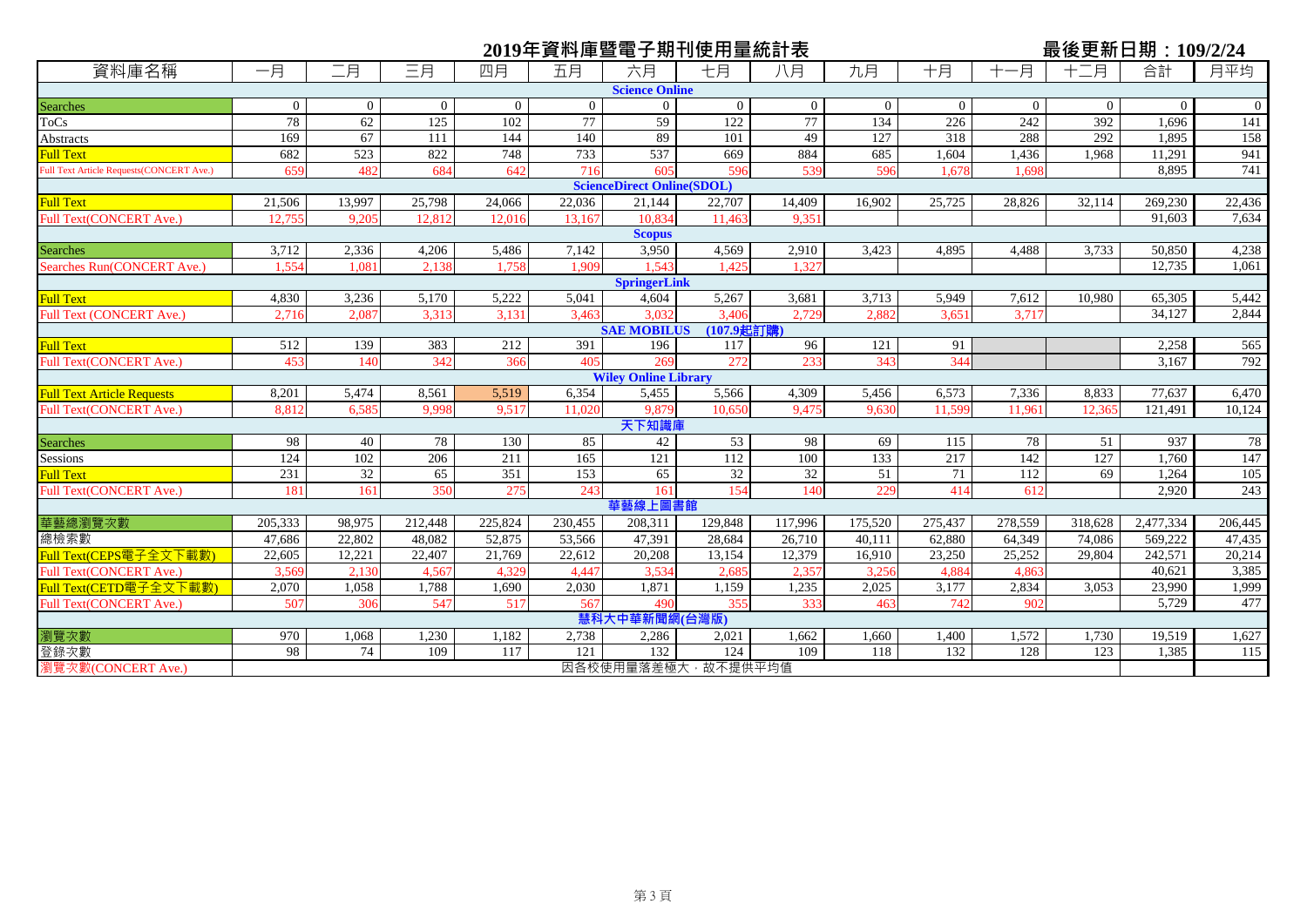|                                                 |          |                  |                |                | 2019年資料庫暨電子期刊使用量統計表 |                                   |                           |                |          |                |                |                | 最後更新日期: 109/2/24 |             |
|-------------------------------------------------|----------|------------------|----------------|----------------|---------------------|-----------------------------------|---------------------------|----------------|----------|----------------|----------------|----------------|------------------|-------------|
| 資料庫名稱                                           | 一月       | 二月               | 三月             | 四月             | 五月                  | 六月                                | 七月                        | 八月             | 九月       | 十月             | 一月             | 十二月            | 合計               | 月平均         |
|                                                 |          |                  |                |                |                     | <b>Science Online</b>             |                           |                |          |                |                |                |                  |             |
| <b>Searches</b>                                 | $\Omega$ | $\overline{0}$   | $\overline{0}$ | $\overline{0}$ | $\overline{0}$      | $\overline{0}$                    | $\Omega$                  | $\overline{0}$ | $\Omega$ | $\overline{0}$ | $\overline{0}$ | $\overline{0}$ | $\Omega$         | $\mathbf 0$ |
| <b>ToCs</b>                                     | 78       | 62               | 125            | 102            | 77                  | 59                                | 122                       | 77             | 134      | 226            | 242            | 392            | 1.696            | 141         |
| <b>Abstracts</b>                                | 169      | 67               | 111            | 144            | 140                 | 89                                | 101                       | 49             | 127      | 318            | 288            | 292            | 1,895            | 158         |
| <b>Full Text</b>                                | 682      | $\overline{523}$ | 822            | 748            | 733                 | 537                               | 669                       | 884            | 685      | 1.604          | 1,436          | 1.968          | 11,291           | 941         |
| <b>Full Text Article Requests(CONCERT Ave.)</b> | 659      | 482              | 684            | 642            | 716                 | 605                               | 596                       | 539            | 596      | 1,678          | 1.698          |                | 8,895            | 741         |
|                                                 |          |                  |                |                |                     | <b>ScienceDirect Online(SDOL)</b> |                           |                |          |                |                |                |                  |             |
| <b>Full Text</b>                                | 21,506   | 13,997           | 25,798         | 24,066         | 22,036              | 21,144                            | 22,707                    | 14,409         | 16,902   | 25,725         | 28,826         | 32,114         | 269,230          | 22,436      |
| <b>Full Text(CONCERT Ave.)</b>                  | 12.755   | 9.205            | 12,812         | 12,016         | 13.167              | 10,834                            | 11.463                    | 9.351          |          |                |                |                | 91,603           | 7,634       |
|                                                 |          |                  |                |                |                     | <b>Scopus</b>                     |                           |                |          |                |                |                |                  |             |
| <b>Searches</b>                                 | 3,712    | 2,336            | 4,206          | 5,486          | 7,142               | 3,950                             | 4,569                     | 2,910          | 3,423    | 4,895          | 4,488          | 3,733          | 50,850           | 4,238       |
| Searches Run(CONCERT Ave.)                      | 1.554    | $1.08^{\circ}$   | 2.138          | 1.758          | 1.909               | 1.543                             | 1.425                     | 1.327          |          |                |                |                | 12.735           | 1,061       |
|                                                 |          |                  |                |                |                     | <b>SpringerLink</b>               |                           |                |          |                |                |                |                  |             |
| <b>Full Text</b>                                | 4,830    | 3,236            | 5,170          | 5,222          | 5.041               | 4,604                             | 5,267                     | 3,681          | 3,713    | 5,949          | 7,612          | 10,980         | 65,305           | 5,442       |
| <b>Full Text (CONCERT Ave.)</b>                 | 2,716    | 2.087            | 3,313          | 3,131          | 3.463               | 3.032                             | 3.406                     | 2.729          | 2,882    | 3.651          | 3.717          |                | 34,127           | 2,844       |
|                                                 |          |                  |                |                |                     | <b>SAE MOBILUS</b>                | (107.9起訂購)                |                |          |                |                |                |                  |             |
| <b>Full Text</b>                                | 512      | 139              | 383            | 212            | 391                 | 196                               | 117                       | 96             | 121      | 91             |                |                | 2,258            | 565         |
| <b>Full Text(CONCERT Ave.)</b>                  | 453      | 140              | 342            | 366            | 405                 | 269                               | 272                       | 233            | 343      | 344            |                |                | 3,167            | 792         |
|                                                 |          |                  |                |                |                     | <b>Wiley Online Library</b>       |                           |                |          |                |                |                |                  |             |
| <b>Full Text Article Requests</b>               | 8,201    | 5,474            | 8,561          | 5,519          | 6,354               | 5,455                             | 5,566                     | 4,309          | 5,456    | 6,573          | 7,336          | 8,833          | 77,637           | 6,470       |
| <b>Full Text(CONCERT Ave.)</b>                  | 8.812    | 6.585            | 9.998          | 9,517          | 11.020              | 9,879                             | 10,650                    | 9.475          | 9.630    | 11,599         | 11,961         | 12.365         | 121,491          | 10,124      |
|                                                 |          |                  |                |                |                     | 天下知識庫                             |                           |                |          |                |                |                |                  |             |
| <b>Searches</b>                                 | 98       | 40               | 78             | 130            | 85                  | 42                                | 53                        | 98             | 69       | 115            | 78             | 51             | 937              | 78          |
| Sessions                                        | 124      | 102              | 206            | 211            | 165                 | 121                               | 112                       | 100            | 133      | 217            | 142            | 127            | 1,760            | 147         |
| <b>Full Text</b>                                | 231      | 32               | 65             | 351            | 153                 | 65                                | $\overline{32}$           | 32             | 51       | 71             | 112            | 69             | 1,264            | 105         |
| Full Text(CONCERT Ave.)                         | 181      | 161              | 350            | 275            | 243                 | 161                               | 154                       | 140            | 229      | 414            | 612            |                | 2.920            | 243         |
|                                                 |          |                  |                |                |                     | 華藝線上圖書館                           |                           |                |          |                |                |                |                  |             |
| 華藝總瀏覽次數                                         | 205,333  | 98,975           | 212,448        | 225,824        | 230,455             | 208,311                           | 129,848                   | 117,996        | 175,520  | 275,437        | 278,559        | 318,628        | 2,477,334        | 206,445     |
| 總檢索數                                            | 47,686   | 22,802           | 48,082         | 52,875         | 53,566              | 47,391                            | 28,684                    | 26,710         | 40,111   | 62,880         | 64,349         | 74,086         | 569,222          | 47,435      |
| Full Text(CEPS電子全文下載數)                          | 22,605   | 12,221           | 22,407         | 21,769         | 22,612              | 20,208                            | 13,154                    | 12,379         | 16,910   | 23,250         | 25,252         | 29,804         | 242,571          | 20,214      |
| Full Text(CONCERT Ave.)                         | 3,569    | 2,130            | 4,567          | 4,329          | 4,447               | 3,534                             | 2,685                     | 2,357          | 3,256    | 4,884          | 4,863          |                | 40,621           | 3,385       |
| Full Text(CETD電子全文下載數)                          | 2,070    | 1,058            | 1,788          | 1,690          | 2,030               | 1,871                             | 1,159                     | 1,235          | 2,025    | 3,177          | 2,834          | 3,053          | 23,990           | 1,999       |
| Full Text(CONCERT Ave.)                         | 507      | 306              | 547            | 517            | 567                 | 490<br>慧科大中華新聞網(台灣版)              | 355                       | 333            | 463      | 742            | 902            |                | 5,729            | 477         |
|                                                 |          |                  |                |                |                     |                                   |                           |                |          |                |                |                |                  |             |
| 瀏覽次數                                            | 970      | 1,068            | 1,230<br>109   | 1,182<br>117   | 2,738               | 2,286                             | 2,021                     | 1,662<br>109   | 1,660    | 1,400          | 1,572          | 1,730          | 19,519           | 1,627       |
| 登錄次數                                            | 98       | 74               |                |                | 121                 | 132                               | 124<br>因各校使用量落差極大,故不提供平均值 |                | 118      | 132            | 128            | 123            | 1,385            | 115         |
| 瀏覽次數(CONCERT Ave.)                              |          |                  |                |                |                     |                                   |                           |                |          |                |                |                |                  |             |

H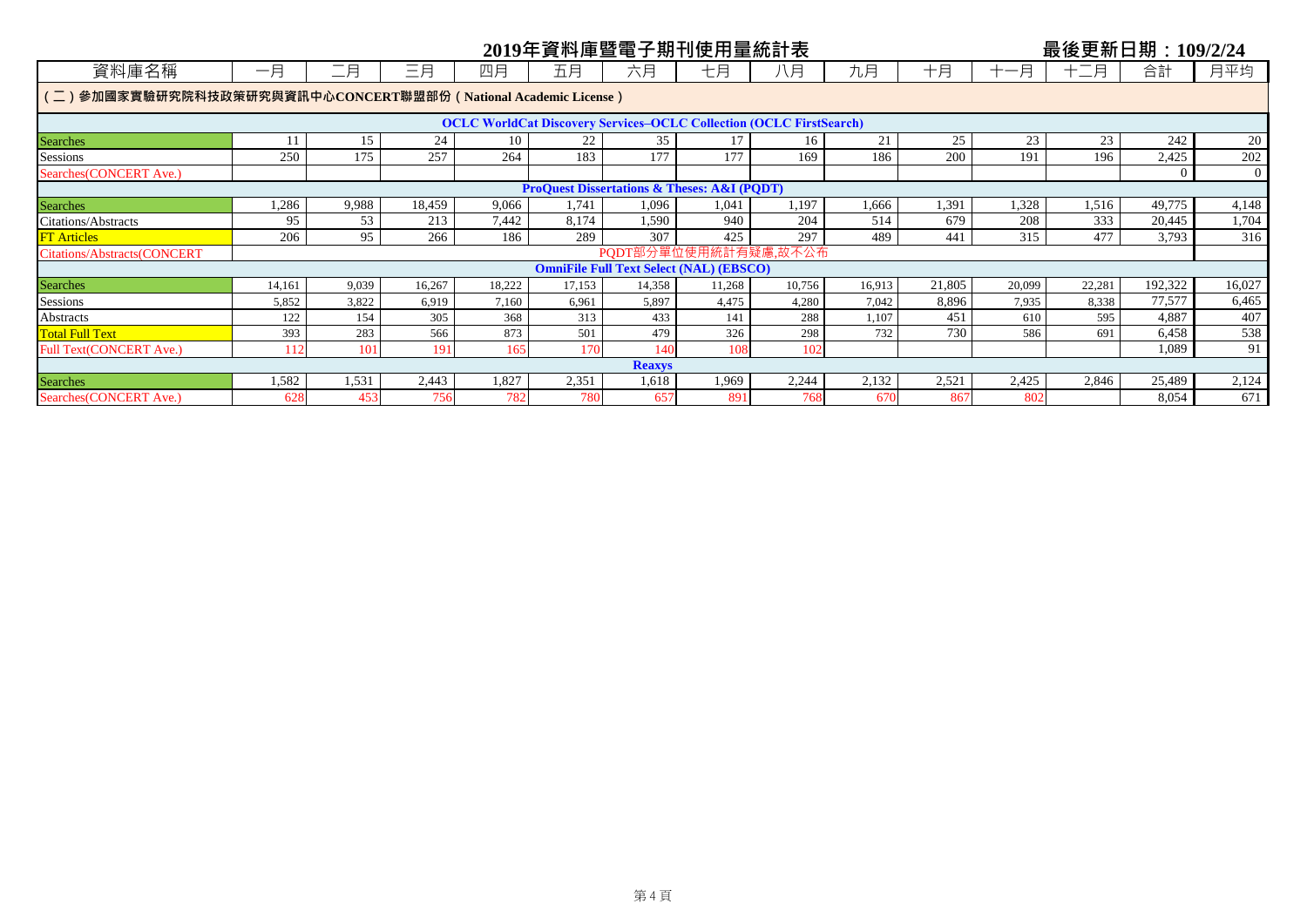| 2019年資料庫暨電子期刊使用量統計表<br>最後更新日期: 109/2/24                        |                                                                            |       |        |        |        |                                                            |        |                      |        |        |        |        |          |                |
|----------------------------------------------------------------|----------------------------------------------------------------------------|-------|--------|--------|--------|------------------------------------------------------------|--------|----------------------|--------|--------|--------|--------|----------|----------------|
| 資料庫名稱                                                          | 一月                                                                         | 二月    | 三月     | 四月     | 五月     | 六月                                                         | 七月     | 八月                   | 九月     | 十月     | 十一月    | 十二月    | 合計       | 月平均            |
| (二)參加國家實驗研究院科技政策研究與資訊中心CONCERT聯盟部份 (National Academic License) |                                                                            |       |        |        |        |                                                            |        |                      |        |        |        |        |          |                |
|                                                                | <b>OCLC WorldCat Discovery Services-OCLC Collection (OCLC FirstSearch)</b> |       |        |        |        |                                                            |        |                      |        |        |        |        |          |                |
| <b>Searches</b>                                                |                                                                            | 15    | 24     | 10     | 22     | 35                                                         |        | 16                   | 21     | 25     | 23     | 23     | 242      | 20             |
| Sessions                                                       | 250                                                                        | 175   | 257    | 264    | 183    | 177                                                        | 177    | 169                  | 186    | 200    | 191    | 196    | 2,425    | 202            |
| Searches (CONCERT Ave.)                                        |                                                                            |       |        |        |        |                                                            |        |                      |        |        |        |        | $\Omega$ | $\overline{0}$ |
|                                                                |                                                                            |       |        |        |        | <b>ProQuest Dissertations &amp; Theses: A&amp;I (PQDT)</b> |        |                      |        |        |        |        |          |                |
| <b>Searches</b>                                                | 1,286                                                                      | 9,988 | 18,459 | 9,066  | 1,741  | 1,096                                                      | 1,041  | 1,197                | 1,666  | 1,391  | 1,328  | 1,516  | 49,775   | 4,148          |
| Citations/Abstracts                                            | 95                                                                         | 53    | 213    | 7,442  | 8,174  | 1,590                                                      | 940    | 204                  | 514    | 679    | 208    | 333    | 20,445   | 1,704          |
| <b>FT</b> Articles                                             | 206                                                                        | 95    | 266    | 186    | 289    | 307                                                        | 425    | 297                  | 489    | 441    | 315    | 477    | 3,793    | 316            |
| <b>Citations/Abstracts(CONCERT</b>                             |                                                                            |       |        |        |        |                                                            |        | PQDT部分單位使用統計有疑慮,故不公布 |        |        |        |        |          |                |
|                                                                |                                                                            |       |        |        |        | <b>OmniFile Full Text Select (NAL) (EBSCO)</b>             |        |                      |        |        |        |        |          |                |
| <b>Searches</b>                                                | 14,161                                                                     | 9,039 | 16,267 | 18,222 | 17,153 | 14,358                                                     | 11,268 | 10,756               | 16,913 | 21,805 | 20,099 | 22,281 | 192,322  | 16,027         |
| Sessions                                                       | 5,852                                                                      | 3,822 | 6.919  | 7.160  | 6,961  | 5.897                                                      | 4.475  | 4,280                | 7.042  | 8.896  | 7,935  | 8,338  | 77,577   | 6,465          |
| <b>Abstracts</b>                                               | 122                                                                        | 154   | 305    | 368    | 313    | 433                                                        | 141    | 288                  | 1,107  | 451    | 610    | 595    | 4,887    | 407            |
| <b>Total Full Text</b>                                         | 393                                                                        | 283   | 566    | 873    | 501    | 479                                                        | 326    | 298                  | 732    | 730    | 586    | 691    | 6,458    | 538            |
| <b>Full Text(CONCERT Ave.)</b>                                 | 112                                                                        | 101   | 191    | 165    | 170    | 140                                                        | 108    | 102                  |        |        |        |        | 1,089    | 91             |
| <b>Reaxys</b>                                                  |                                                                            |       |        |        |        |                                                            |        |                      |        |        |        |        |          |                |
| <b>Searches</b>                                                | 1,582                                                                      | 1,531 | 2,443  | 1,827  | 2,351  | 1,618                                                      | 1,969  | 2,244                | 2,132  | 2,521  | 2,425  | 2,846  | 25,489   | 2,124          |
| Searches (CONCERT Ave.)                                        | 628                                                                        | 453   | 756    | 782    | 780    | 657                                                        | 891    | 768                  | 670    | 867    | 802    |        | 8,054    | 671            |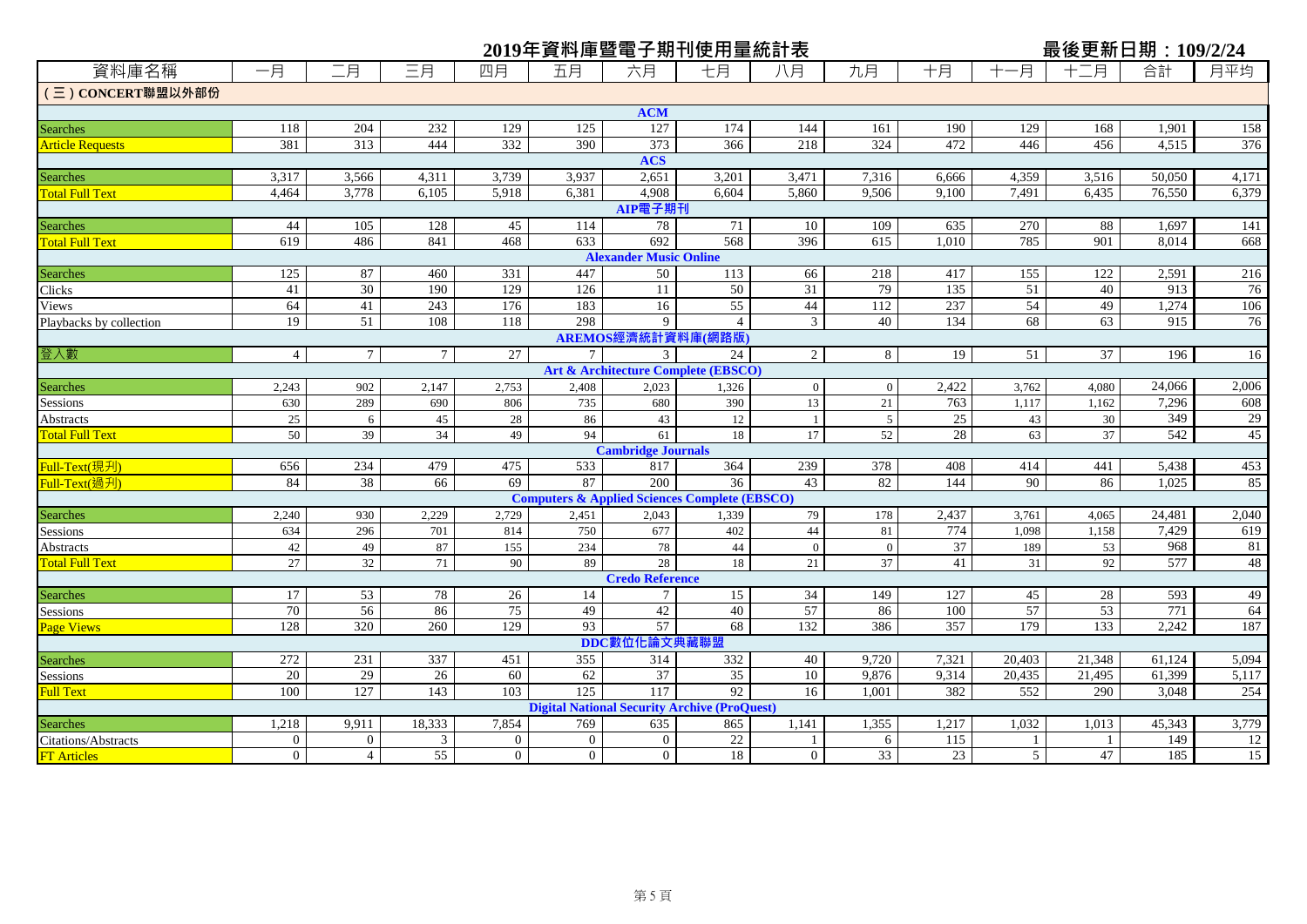| 資料庫名稱<br>二月<br>合計<br>月平均<br>一月<br>三月<br>四月<br>六月<br>九月<br>十月<br>-月<br>五月<br>七月<br>八月<br>$+-$<br>月<br>(三) CONCERT聯盟以外部份<br><b>ACM</b><br>204<br>232<br>129<br>125<br>127<br>174<br>190<br>158<br>118<br>144<br>161<br>129<br>168<br>1,901<br>Searches<br>313<br>373<br>381<br>444<br>332<br>390<br>366<br>218<br>324<br>472<br>446<br>$\overline{376}$<br>456<br>4.515<br><b>Article Requests</b><br><b>ACS</b><br>2,651<br>3,317<br>3,566<br>4,311<br>3,739<br>3,937<br>3,201<br>3,471<br>7,316<br>4,359<br>3,516<br>50,050<br>4,171<br>6,666<br><b>Searches</b><br>3,778<br>4,908<br>9,506<br>4.464<br>6.105<br>5,918<br>6.381<br>6.604<br>5,860<br>9.100<br>7.491<br>6,435<br>76,550<br>6,379<br><b>Total Full Text</b><br>AIP電子期刊<br>44<br>105<br>128<br>10<br>635<br>270<br>88<br>141<br>45<br>114<br>78<br>71<br>109<br>1,697<br>Searches<br>468<br>692<br>568<br>396<br>785<br>901<br>619<br>486<br>841<br>633<br>615<br>1.010<br>8.014<br>668<br><b>Total Full Text</b><br><b>Alexander Music Online</b><br>447<br>216<br>125<br>87<br>460<br>331<br>50<br>66<br>417<br>155<br>122<br>2,591<br>113<br>218<br>Searches<br>30<br>129<br>135<br>51<br>76<br>41<br>190<br>126<br>11<br>50<br>31<br>79<br>40<br>913<br>Clicks<br>237<br>54<br>64<br>243<br>176<br>55<br>44<br>112<br>49<br>1,274<br>106<br>41<br>183<br>16<br>Views<br>51<br>298<br>134<br>915<br>76<br>19<br>108<br>118<br>9<br>3<br>40<br>68<br>63<br>Playbacks by collection<br>$\overline{4}$<br>AREMOS經濟統計資料庫(網路版)<br>$7\overline{ }$<br>$\overline{27}$<br>$\overline{2}$<br>8<br>$\overline{37}$<br>登入數<br>$\overline{4}$<br>$7\overline{ }$<br>19<br>51<br>196<br>$\tau$<br>3<br>24<br><b>Art &amp; Architecture Complete (EBSCO)</b><br>2,422<br>24,066<br>2,006<br>902<br>2,023<br>Searches<br>2,243<br>2,147<br>2,753<br>2,408<br>1,326<br>$\overline{0}$<br>$\overline{0}$<br>3,762<br>4,080<br>289<br>13<br>763<br>7,296<br>608<br>630<br>806<br>735<br>680<br>390<br>21<br>1,117<br>1.162<br>690<br>Sessions<br>349<br>29<br>$25\,$<br>25<br>28<br>Abstracts<br>45<br>86<br>43<br>12<br>5<br>43<br>30<br>6<br>-1<br>28<br>$\overline{542}$<br>45<br>50<br>39<br>34<br>94<br>52<br>37<br>49<br>61<br>18<br>17<br>63<br><b>Total Full Text</b><br><b>Cambridge Journals</b><br>453<br>Full-Text(現刋)<br>656<br>234<br>479<br>475<br>533<br>817<br>364<br>239<br>378<br>408<br>414<br>441<br>5,438<br>$\overline{38}$<br>69<br>87<br>$\overline{200}$<br>43<br>82<br>144<br>85<br>84<br>66<br>36<br>90<br>86<br>1.025<br>Full-Text(過刋)<br><b>Computers &amp; Applied Sciences Complete (EBSCO)</b><br>2,437<br>24,481<br>2,040<br>2,240<br>930<br>2,229<br>2,729<br>79<br>178<br><b>Searches</b><br>2,451<br>2,043<br>3,761<br>4,065<br>1,339<br>774<br>7,429<br>619<br>296<br>750<br>677<br>44<br>1.158<br>634<br>701<br>814<br>402<br>81<br>1.098<br>Sessions<br>37<br>968<br>42<br>87<br>155<br>234<br>78<br>81<br>49<br>44<br>$\overline{0}$<br>$\overline{0}$<br>189<br>53<br>Abstracts<br>577<br>48<br>$\overline{32}$<br>28<br>92<br><b>Total Full Text</b><br>27<br>90<br>89<br>37<br>41<br>71<br>18<br>21<br>31<br><b>Credo Reference</b><br>53<br>78<br>26<br>15<br>34<br>149<br>127<br>45<br>28<br>593<br>49<br>17<br>14<br><b>Searches</b><br>75<br>771<br>70<br>56<br>57<br>57<br>53<br>64<br>86<br>49<br>42<br>40<br>86<br>100<br>Sessions<br>93<br>$\overline{57}$<br>$\overline{357}$<br>179<br>2,242<br>128<br>320<br>260<br>129<br>68<br>132<br>386<br>133<br>187<br>Page Views<br>DDC數位化論文典藏聯盟<br>272<br>231<br>337<br>355<br>5,094<br>451<br>314<br>332<br>40<br>9,720<br>7,321<br>20,403<br>21,348<br>61,124<br>Searches<br>20<br>29<br>37<br>10<br>26<br>60<br>62<br>35<br>9,876<br>9,314<br>20,435<br>61,399<br>5,117<br>21,495<br>Sessions<br>100<br>127<br>143<br>103<br>125<br>117<br>92<br>382<br>552<br>254<br>16<br>1.001<br>290<br>3,048<br><b>Full Text</b><br><b>Digital National Security Archive (ProQuest)</b><br>18,333<br>1,355<br>1,032<br>3,779<br>1,218<br>9.911<br>7,854<br>769<br>635<br>1,141<br>1,217<br>1,013<br>45,343<br>865<br><b>Searches</b><br>$22\,$<br>$\theta$<br>$\overline{0}$<br>$\overline{0}$<br>$\overline{0}$<br>$\overline{0}$<br>115<br>149<br>12<br>3<br>Citations/Abstracts<br>6<br>-1<br>1<br>$\Omega$<br>5 <sup>5</sup> |                    |                |                |    |          |          | 2019年資料庫暨電子期刊使用量統計表 |          |    |    | 最後更新日期: 109/2/24 |     |                 |
|------------------------------------------------------------------------------------------------------------------------------------------------------------------------------------------------------------------------------------------------------------------------------------------------------------------------------------------------------------------------------------------------------------------------------------------------------------------------------------------------------------------------------------------------------------------------------------------------------------------------------------------------------------------------------------------------------------------------------------------------------------------------------------------------------------------------------------------------------------------------------------------------------------------------------------------------------------------------------------------------------------------------------------------------------------------------------------------------------------------------------------------------------------------------------------------------------------------------------------------------------------------------------------------------------------------------------------------------------------------------------------------------------------------------------------------------------------------------------------------------------------------------------------------------------------------------------------------------------------------------------------------------------------------------------------------------------------------------------------------------------------------------------------------------------------------------------------------------------------------------------------------------------------------------------------------------------------------------------------------------------------------------------------------------------------------------------------------------------------------------------------------------------------------------------------------------------------------------------------------------------------------------------------------------------------------------------------------------------------------------------------------------------------------------------------------------------------------------------------------------------------------------------------------------------------------------------------------------------------------------------------------------------------------------------------------------------------------------------------------------------------------------------------------------------------------------------------------------------------------------------------------------------------------------------------------------------------------------------------------------------------------------------------------------------------------------------------------------------------------------------------------------------------------------------------------------------------------------------------------------------------------------------------------------------------------------------------------------------------------------------------------------------------------------------------------------------------------------------------------------------------------------------------------------------------------------------------------------------------------------------------------------------------------------------------------------------------------------------------------------------------------------------------------------------------------------------------------------------------------------------------------------------------------------------------------------------------------------------------------------------------------------------------------------------------------------------------------------------------------------------------------------------------------------------------------------------------------------------------------------------------------------|--------------------|----------------|----------------|----|----------|----------|---------------------|----------|----|----|------------------|-----|-----------------|
|                                                                                                                                                                                                                                                                                                                                                                                                                                                                                                                                                                                                                                                                                                                                                                                                                                                                                                                                                                                                                                                                                                                                                                                                                                                                                                                                                                                                                                                                                                                                                                                                                                                                                                                                                                                                                                                                                                                                                                                                                                                                                                                                                                                                                                                                                                                                                                                                                                                                                                                                                                                                                                                                                                                                                                                                                                                                                                                                                                                                                                                                                                                                                                                                                                                                                                                                                                                                                                                                                                                                                                                                                                                                                                                                                                                                                                                                                                                                                                                                                                                                                                                                                                                                                                                                        |                    |                |                |    |          |          |                     |          |    |    |                  |     |                 |
|                                                                                                                                                                                                                                                                                                                                                                                                                                                                                                                                                                                                                                                                                                                                                                                                                                                                                                                                                                                                                                                                                                                                                                                                                                                                                                                                                                                                                                                                                                                                                                                                                                                                                                                                                                                                                                                                                                                                                                                                                                                                                                                                                                                                                                                                                                                                                                                                                                                                                                                                                                                                                                                                                                                                                                                                                                                                                                                                                                                                                                                                                                                                                                                                                                                                                                                                                                                                                                                                                                                                                                                                                                                                                                                                                                                                                                                                                                                                                                                                                                                                                                                                                                                                                                                                        |                    |                |                |    |          |          |                     |          |    |    |                  |     |                 |
|                                                                                                                                                                                                                                                                                                                                                                                                                                                                                                                                                                                                                                                                                                                                                                                                                                                                                                                                                                                                                                                                                                                                                                                                                                                                                                                                                                                                                                                                                                                                                                                                                                                                                                                                                                                                                                                                                                                                                                                                                                                                                                                                                                                                                                                                                                                                                                                                                                                                                                                                                                                                                                                                                                                                                                                                                                                                                                                                                                                                                                                                                                                                                                                                                                                                                                                                                                                                                                                                                                                                                                                                                                                                                                                                                                                                                                                                                                                                                                                                                                                                                                                                                                                                                                                                        |                    |                |                |    |          |          |                     |          |    |    |                  |     |                 |
|                                                                                                                                                                                                                                                                                                                                                                                                                                                                                                                                                                                                                                                                                                                                                                                                                                                                                                                                                                                                                                                                                                                                                                                                                                                                                                                                                                                                                                                                                                                                                                                                                                                                                                                                                                                                                                                                                                                                                                                                                                                                                                                                                                                                                                                                                                                                                                                                                                                                                                                                                                                                                                                                                                                                                                                                                                                                                                                                                                                                                                                                                                                                                                                                                                                                                                                                                                                                                                                                                                                                                                                                                                                                                                                                                                                                                                                                                                                                                                                                                                                                                                                                                                                                                                                                        |                    |                |                |    |          |          |                     |          |    |    |                  |     |                 |
|                                                                                                                                                                                                                                                                                                                                                                                                                                                                                                                                                                                                                                                                                                                                                                                                                                                                                                                                                                                                                                                                                                                                                                                                                                                                                                                                                                                                                                                                                                                                                                                                                                                                                                                                                                                                                                                                                                                                                                                                                                                                                                                                                                                                                                                                                                                                                                                                                                                                                                                                                                                                                                                                                                                                                                                                                                                                                                                                                                                                                                                                                                                                                                                                                                                                                                                                                                                                                                                                                                                                                                                                                                                                                                                                                                                                                                                                                                                                                                                                                                                                                                                                                                                                                                                                        |                    |                |                |    |          |          |                     |          |    |    |                  |     |                 |
|                                                                                                                                                                                                                                                                                                                                                                                                                                                                                                                                                                                                                                                                                                                                                                                                                                                                                                                                                                                                                                                                                                                                                                                                                                                                                                                                                                                                                                                                                                                                                                                                                                                                                                                                                                                                                                                                                                                                                                                                                                                                                                                                                                                                                                                                                                                                                                                                                                                                                                                                                                                                                                                                                                                                                                                                                                                                                                                                                                                                                                                                                                                                                                                                                                                                                                                                                                                                                                                                                                                                                                                                                                                                                                                                                                                                                                                                                                                                                                                                                                                                                                                                                                                                                                                                        |                    |                |                |    |          |          |                     |          |    |    |                  |     |                 |
|                                                                                                                                                                                                                                                                                                                                                                                                                                                                                                                                                                                                                                                                                                                                                                                                                                                                                                                                                                                                                                                                                                                                                                                                                                                                                                                                                                                                                                                                                                                                                                                                                                                                                                                                                                                                                                                                                                                                                                                                                                                                                                                                                                                                                                                                                                                                                                                                                                                                                                                                                                                                                                                                                                                                                                                                                                                                                                                                                                                                                                                                                                                                                                                                                                                                                                                                                                                                                                                                                                                                                                                                                                                                                                                                                                                                                                                                                                                                                                                                                                                                                                                                                                                                                                                                        |                    |                |                |    |          |          |                     |          |    |    |                  |     |                 |
|                                                                                                                                                                                                                                                                                                                                                                                                                                                                                                                                                                                                                                                                                                                                                                                                                                                                                                                                                                                                                                                                                                                                                                                                                                                                                                                                                                                                                                                                                                                                                                                                                                                                                                                                                                                                                                                                                                                                                                                                                                                                                                                                                                                                                                                                                                                                                                                                                                                                                                                                                                                                                                                                                                                                                                                                                                                                                                                                                                                                                                                                                                                                                                                                                                                                                                                                                                                                                                                                                                                                                                                                                                                                                                                                                                                                                                                                                                                                                                                                                                                                                                                                                                                                                                                                        |                    |                |                |    |          |          |                     |          |    |    |                  |     |                 |
|                                                                                                                                                                                                                                                                                                                                                                                                                                                                                                                                                                                                                                                                                                                                                                                                                                                                                                                                                                                                                                                                                                                                                                                                                                                                                                                                                                                                                                                                                                                                                                                                                                                                                                                                                                                                                                                                                                                                                                                                                                                                                                                                                                                                                                                                                                                                                                                                                                                                                                                                                                                                                                                                                                                                                                                                                                                                                                                                                                                                                                                                                                                                                                                                                                                                                                                                                                                                                                                                                                                                                                                                                                                                                                                                                                                                                                                                                                                                                                                                                                                                                                                                                                                                                                                                        |                    |                |                |    |          |          |                     |          |    |    |                  |     |                 |
|                                                                                                                                                                                                                                                                                                                                                                                                                                                                                                                                                                                                                                                                                                                                                                                                                                                                                                                                                                                                                                                                                                                                                                                                                                                                                                                                                                                                                                                                                                                                                                                                                                                                                                                                                                                                                                                                                                                                                                                                                                                                                                                                                                                                                                                                                                                                                                                                                                                                                                                                                                                                                                                                                                                                                                                                                                                                                                                                                                                                                                                                                                                                                                                                                                                                                                                                                                                                                                                                                                                                                                                                                                                                                                                                                                                                                                                                                                                                                                                                                                                                                                                                                                                                                                                                        |                    |                |                |    |          |          |                     |          |    |    |                  |     |                 |
|                                                                                                                                                                                                                                                                                                                                                                                                                                                                                                                                                                                                                                                                                                                                                                                                                                                                                                                                                                                                                                                                                                                                                                                                                                                                                                                                                                                                                                                                                                                                                                                                                                                                                                                                                                                                                                                                                                                                                                                                                                                                                                                                                                                                                                                                                                                                                                                                                                                                                                                                                                                                                                                                                                                                                                                                                                                                                                                                                                                                                                                                                                                                                                                                                                                                                                                                                                                                                                                                                                                                                                                                                                                                                                                                                                                                                                                                                                                                                                                                                                                                                                                                                                                                                                                                        |                    |                |                |    |          |          |                     |          |    |    |                  |     |                 |
|                                                                                                                                                                                                                                                                                                                                                                                                                                                                                                                                                                                                                                                                                                                                                                                                                                                                                                                                                                                                                                                                                                                                                                                                                                                                                                                                                                                                                                                                                                                                                                                                                                                                                                                                                                                                                                                                                                                                                                                                                                                                                                                                                                                                                                                                                                                                                                                                                                                                                                                                                                                                                                                                                                                                                                                                                                                                                                                                                                                                                                                                                                                                                                                                                                                                                                                                                                                                                                                                                                                                                                                                                                                                                                                                                                                                                                                                                                                                                                                                                                                                                                                                                                                                                                                                        |                    |                |                |    |          |          |                     |          |    |    |                  |     |                 |
|                                                                                                                                                                                                                                                                                                                                                                                                                                                                                                                                                                                                                                                                                                                                                                                                                                                                                                                                                                                                                                                                                                                                                                                                                                                                                                                                                                                                                                                                                                                                                                                                                                                                                                                                                                                                                                                                                                                                                                                                                                                                                                                                                                                                                                                                                                                                                                                                                                                                                                                                                                                                                                                                                                                                                                                                                                                                                                                                                                                                                                                                                                                                                                                                                                                                                                                                                                                                                                                                                                                                                                                                                                                                                                                                                                                                                                                                                                                                                                                                                                                                                                                                                                                                                                                                        |                    |                |                |    |          |          |                     |          |    |    |                  |     |                 |
|                                                                                                                                                                                                                                                                                                                                                                                                                                                                                                                                                                                                                                                                                                                                                                                                                                                                                                                                                                                                                                                                                                                                                                                                                                                                                                                                                                                                                                                                                                                                                                                                                                                                                                                                                                                                                                                                                                                                                                                                                                                                                                                                                                                                                                                                                                                                                                                                                                                                                                                                                                                                                                                                                                                                                                                                                                                                                                                                                                                                                                                                                                                                                                                                                                                                                                                                                                                                                                                                                                                                                                                                                                                                                                                                                                                                                                                                                                                                                                                                                                                                                                                                                                                                                                                                        |                    |                |                |    |          |          |                     |          |    |    |                  |     |                 |
|                                                                                                                                                                                                                                                                                                                                                                                                                                                                                                                                                                                                                                                                                                                                                                                                                                                                                                                                                                                                                                                                                                                                                                                                                                                                                                                                                                                                                                                                                                                                                                                                                                                                                                                                                                                                                                                                                                                                                                                                                                                                                                                                                                                                                                                                                                                                                                                                                                                                                                                                                                                                                                                                                                                                                                                                                                                                                                                                                                                                                                                                                                                                                                                                                                                                                                                                                                                                                                                                                                                                                                                                                                                                                                                                                                                                                                                                                                                                                                                                                                                                                                                                                                                                                                                                        |                    |                |                |    |          |          |                     |          |    |    |                  |     |                 |
|                                                                                                                                                                                                                                                                                                                                                                                                                                                                                                                                                                                                                                                                                                                                                                                                                                                                                                                                                                                                                                                                                                                                                                                                                                                                                                                                                                                                                                                                                                                                                                                                                                                                                                                                                                                                                                                                                                                                                                                                                                                                                                                                                                                                                                                                                                                                                                                                                                                                                                                                                                                                                                                                                                                                                                                                                                                                                                                                                                                                                                                                                                                                                                                                                                                                                                                                                                                                                                                                                                                                                                                                                                                                                                                                                                                                                                                                                                                                                                                                                                                                                                                                                                                                                                                                        |                    |                |                |    |          |          |                     |          |    |    |                  |     |                 |
|                                                                                                                                                                                                                                                                                                                                                                                                                                                                                                                                                                                                                                                                                                                                                                                                                                                                                                                                                                                                                                                                                                                                                                                                                                                                                                                                                                                                                                                                                                                                                                                                                                                                                                                                                                                                                                                                                                                                                                                                                                                                                                                                                                                                                                                                                                                                                                                                                                                                                                                                                                                                                                                                                                                                                                                                                                                                                                                                                                                                                                                                                                                                                                                                                                                                                                                                                                                                                                                                                                                                                                                                                                                                                                                                                                                                                                                                                                                                                                                                                                                                                                                                                                                                                                                                        |                    |                |                |    |          |          |                     |          |    |    |                  |     |                 |
|                                                                                                                                                                                                                                                                                                                                                                                                                                                                                                                                                                                                                                                                                                                                                                                                                                                                                                                                                                                                                                                                                                                                                                                                                                                                                                                                                                                                                                                                                                                                                                                                                                                                                                                                                                                                                                                                                                                                                                                                                                                                                                                                                                                                                                                                                                                                                                                                                                                                                                                                                                                                                                                                                                                                                                                                                                                                                                                                                                                                                                                                                                                                                                                                                                                                                                                                                                                                                                                                                                                                                                                                                                                                                                                                                                                                                                                                                                                                                                                                                                                                                                                                                                                                                                                                        |                    |                |                |    |          |          |                     |          |    |    |                  |     | 16              |
|                                                                                                                                                                                                                                                                                                                                                                                                                                                                                                                                                                                                                                                                                                                                                                                                                                                                                                                                                                                                                                                                                                                                                                                                                                                                                                                                                                                                                                                                                                                                                                                                                                                                                                                                                                                                                                                                                                                                                                                                                                                                                                                                                                                                                                                                                                                                                                                                                                                                                                                                                                                                                                                                                                                                                                                                                                                                                                                                                                                                                                                                                                                                                                                                                                                                                                                                                                                                                                                                                                                                                                                                                                                                                                                                                                                                                                                                                                                                                                                                                                                                                                                                                                                                                                                                        |                    |                |                |    |          |          |                     |          |    |    |                  |     |                 |
|                                                                                                                                                                                                                                                                                                                                                                                                                                                                                                                                                                                                                                                                                                                                                                                                                                                                                                                                                                                                                                                                                                                                                                                                                                                                                                                                                                                                                                                                                                                                                                                                                                                                                                                                                                                                                                                                                                                                                                                                                                                                                                                                                                                                                                                                                                                                                                                                                                                                                                                                                                                                                                                                                                                                                                                                                                                                                                                                                                                                                                                                                                                                                                                                                                                                                                                                                                                                                                                                                                                                                                                                                                                                                                                                                                                                                                                                                                                                                                                                                                                                                                                                                                                                                                                                        |                    |                |                |    |          |          |                     |          |    |    |                  |     |                 |
|                                                                                                                                                                                                                                                                                                                                                                                                                                                                                                                                                                                                                                                                                                                                                                                                                                                                                                                                                                                                                                                                                                                                                                                                                                                                                                                                                                                                                                                                                                                                                                                                                                                                                                                                                                                                                                                                                                                                                                                                                                                                                                                                                                                                                                                                                                                                                                                                                                                                                                                                                                                                                                                                                                                                                                                                                                                                                                                                                                                                                                                                                                                                                                                                                                                                                                                                                                                                                                                                                                                                                                                                                                                                                                                                                                                                                                                                                                                                                                                                                                                                                                                                                                                                                                                                        |                    |                |                |    |          |          |                     |          |    |    |                  |     |                 |
|                                                                                                                                                                                                                                                                                                                                                                                                                                                                                                                                                                                                                                                                                                                                                                                                                                                                                                                                                                                                                                                                                                                                                                                                                                                                                                                                                                                                                                                                                                                                                                                                                                                                                                                                                                                                                                                                                                                                                                                                                                                                                                                                                                                                                                                                                                                                                                                                                                                                                                                                                                                                                                                                                                                                                                                                                                                                                                                                                                                                                                                                                                                                                                                                                                                                                                                                                                                                                                                                                                                                                                                                                                                                                                                                                                                                                                                                                                                                                                                                                                                                                                                                                                                                                                                                        |                    |                |                |    |          |          |                     |          |    |    |                  |     |                 |
|                                                                                                                                                                                                                                                                                                                                                                                                                                                                                                                                                                                                                                                                                                                                                                                                                                                                                                                                                                                                                                                                                                                                                                                                                                                                                                                                                                                                                                                                                                                                                                                                                                                                                                                                                                                                                                                                                                                                                                                                                                                                                                                                                                                                                                                                                                                                                                                                                                                                                                                                                                                                                                                                                                                                                                                                                                                                                                                                                                                                                                                                                                                                                                                                                                                                                                                                                                                                                                                                                                                                                                                                                                                                                                                                                                                                                                                                                                                                                                                                                                                                                                                                                                                                                                                                        |                    |                |                |    |          |          |                     |          |    |    |                  |     |                 |
|                                                                                                                                                                                                                                                                                                                                                                                                                                                                                                                                                                                                                                                                                                                                                                                                                                                                                                                                                                                                                                                                                                                                                                                                                                                                                                                                                                                                                                                                                                                                                                                                                                                                                                                                                                                                                                                                                                                                                                                                                                                                                                                                                                                                                                                                                                                                                                                                                                                                                                                                                                                                                                                                                                                                                                                                                                                                                                                                                                                                                                                                                                                                                                                                                                                                                                                                                                                                                                                                                                                                                                                                                                                                                                                                                                                                                                                                                                                                                                                                                                                                                                                                                                                                                                                                        |                    |                |                |    |          |          |                     |          |    |    |                  |     |                 |
|                                                                                                                                                                                                                                                                                                                                                                                                                                                                                                                                                                                                                                                                                                                                                                                                                                                                                                                                                                                                                                                                                                                                                                                                                                                                                                                                                                                                                                                                                                                                                                                                                                                                                                                                                                                                                                                                                                                                                                                                                                                                                                                                                                                                                                                                                                                                                                                                                                                                                                                                                                                                                                                                                                                                                                                                                                                                                                                                                                                                                                                                                                                                                                                                                                                                                                                                                                                                                                                                                                                                                                                                                                                                                                                                                                                                                                                                                                                                                                                                                                                                                                                                                                                                                                                                        |                    |                |                |    |          |          |                     |          |    |    |                  |     |                 |
|                                                                                                                                                                                                                                                                                                                                                                                                                                                                                                                                                                                                                                                                                                                                                                                                                                                                                                                                                                                                                                                                                                                                                                                                                                                                                                                                                                                                                                                                                                                                                                                                                                                                                                                                                                                                                                                                                                                                                                                                                                                                                                                                                                                                                                                                                                                                                                                                                                                                                                                                                                                                                                                                                                                                                                                                                                                                                                                                                                                                                                                                                                                                                                                                                                                                                                                                                                                                                                                                                                                                                                                                                                                                                                                                                                                                                                                                                                                                                                                                                                                                                                                                                                                                                                                                        |                    |                |                |    |          |          |                     |          |    |    |                  |     |                 |
|                                                                                                                                                                                                                                                                                                                                                                                                                                                                                                                                                                                                                                                                                                                                                                                                                                                                                                                                                                                                                                                                                                                                                                                                                                                                                                                                                                                                                                                                                                                                                                                                                                                                                                                                                                                                                                                                                                                                                                                                                                                                                                                                                                                                                                                                                                                                                                                                                                                                                                                                                                                                                                                                                                                                                                                                                                                                                                                                                                                                                                                                                                                                                                                                                                                                                                                                                                                                                                                                                                                                                                                                                                                                                                                                                                                                                                                                                                                                                                                                                                                                                                                                                                                                                                                                        |                    |                |                |    |          |          |                     |          |    |    |                  |     |                 |
|                                                                                                                                                                                                                                                                                                                                                                                                                                                                                                                                                                                                                                                                                                                                                                                                                                                                                                                                                                                                                                                                                                                                                                                                                                                                                                                                                                                                                                                                                                                                                                                                                                                                                                                                                                                                                                                                                                                                                                                                                                                                                                                                                                                                                                                                                                                                                                                                                                                                                                                                                                                                                                                                                                                                                                                                                                                                                                                                                                                                                                                                                                                                                                                                                                                                                                                                                                                                                                                                                                                                                                                                                                                                                                                                                                                                                                                                                                                                                                                                                                                                                                                                                                                                                                                                        |                    |                |                |    |          |          |                     |          |    |    |                  |     |                 |
|                                                                                                                                                                                                                                                                                                                                                                                                                                                                                                                                                                                                                                                                                                                                                                                                                                                                                                                                                                                                                                                                                                                                                                                                                                                                                                                                                                                                                                                                                                                                                                                                                                                                                                                                                                                                                                                                                                                                                                                                                                                                                                                                                                                                                                                                                                                                                                                                                                                                                                                                                                                                                                                                                                                                                                                                                                                                                                                                                                                                                                                                                                                                                                                                                                                                                                                                                                                                                                                                                                                                                                                                                                                                                                                                                                                                                                                                                                                                                                                                                                                                                                                                                                                                                                                                        |                    |                |                |    |          |          |                     |          |    |    |                  |     |                 |
|                                                                                                                                                                                                                                                                                                                                                                                                                                                                                                                                                                                                                                                                                                                                                                                                                                                                                                                                                                                                                                                                                                                                                                                                                                                                                                                                                                                                                                                                                                                                                                                                                                                                                                                                                                                                                                                                                                                                                                                                                                                                                                                                                                                                                                                                                                                                                                                                                                                                                                                                                                                                                                                                                                                                                                                                                                                                                                                                                                                                                                                                                                                                                                                                                                                                                                                                                                                                                                                                                                                                                                                                                                                                                                                                                                                                                                                                                                                                                                                                                                                                                                                                                                                                                                                                        |                    |                |                |    |          |          |                     |          |    |    |                  |     |                 |
|                                                                                                                                                                                                                                                                                                                                                                                                                                                                                                                                                                                                                                                                                                                                                                                                                                                                                                                                                                                                                                                                                                                                                                                                                                                                                                                                                                                                                                                                                                                                                                                                                                                                                                                                                                                                                                                                                                                                                                                                                                                                                                                                                                                                                                                                                                                                                                                                                                                                                                                                                                                                                                                                                                                                                                                                                                                                                                                                                                                                                                                                                                                                                                                                                                                                                                                                                                                                                                                                                                                                                                                                                                                                                                                                                                                                                                                                                                                                                                                                                                                                                                                                                                                                                                                                        |                    |                |                |    |          |          |                     |          |    |    |                  |     |                 |
|                                                                                                                                                                                                                                                                                                                                                                                                                                                                                                                                                                                                                                                                                                                                                                                                                                                                                                                                                                                                                                                                                                                                                                                                                                                                                                                                                                                                                                                                                                                                                                                                                                                                                                                                                                                                                                                                                                                                                                                                                                                                                                                                                                                                                                                                                                                                                                                                                                                                                                                                                                                                                                                                                                                                                                                                                                                                                                                                                                                                                                                                                                                                                                                                                                                                                                                                                                                                                                                                                                                                                                                                                                                                                                                                                                                                                                                                                                                                                                                                                                                                                                                                                                                                                                                                        |                    |                |                |    |          |          |                     |          |    |    |                  |     |                 |
|                                                                                                                                                                                                                                                                                                                                                                                                                                                                                                                                                                                                                                                                                                                                                                                                                                                                                                                                                                                                                                                                                                                                                                                                                                                                                                                                                                                                                                                                                                                                                                                                                                                                                                                                                                                                                                                                                                                                                                                                                                                                                                                                                                                                                                                                                                                                                                                                                                                                                                                                                                                                                                                                                                                                                                                                                                                                                                                                                                                                                                                                                                                                                                                                                                                                                                                                                                                                                                                                                                                                                                                                                                                                                                                                                                                                                                                                                                                                                                                                                                                                                                                                                                                                                                                                        |                    |                |                |    |          |          |                     |          |    |    |                  |     |                 |
|                                                                                                                                                                                                                                                                                                                                                                                                                                                                                                                                                                                                                                                                                                                                                                                                                                                                                                                                                                                                                                                                                                                                                                                                                                                                                                                                                                                                                                                                                                                                                                                                                                                                                                                                                                                                                                                                                                                                                                                                                                                                                                                                                                                                                                                                                                                                                                                                                                                                                                                                                                                                                                                                                                                                                                                                                                                                                                                                                                                                                                                                                                                                                                                                                                                                                                                                                                                                                                                                                                                                                                                                                                                                                                                                                                                                                                                                                                                                                                                                                                                                                                                                                                                                                                                                        |                    |                |                |    |          |          |                     |          |    |    |                  |     |                 |
|                                                                                                                                                                                                                                                                                                                                                                                                                                                                                                                                                                                                                                                                                                                                                                                                                                                                                                                                                                                                                                                                                                                                                                                                                                                                                                                                                                                                                                                                                                                                                                                                                                                                                                                                                                                                                                                                                                                                                                                                                                                                                                                                                                                                                                                                                                                                                                                                                                                                                                                                                                                                                                                                                                                                                                                                                                                                                                                                                                                                                                                                                                                                                                                                                                                                                                                                                                                                                                                                                                                                                                                                                                                                                                                                                                                                                                                                                                                                                                                                                                                                                                                                                                                                                                                                        |                    |                |                |    |          |          |                     |          |    |    |                  |     |                 |
|                                                                                                                                                                                                                                                                                                                                                                                                                                                                                                                                                                                                                                                                                                                                                                                                                                                                                                                                                                                                                                                                                                                                                                                                                                                                                                                                                                                                                                                                                                                                                                                                                                                                                                                                                                                                                                                                                                                                                                                                                                                                                                                                                                                                                                                                                                                                                                                                                                                                                                                                                                                                                                                                                                                                                                                                                                                                                                                                                                                                                                                                                                                                                                                                                                                                                                                                                                                                                                                                                                                                                                                                                                                                                                                                                                                                                                                                                                                                                                                                                                                                                                                                                                                                                                                                        |                    |                |                |    |          |          |                     |          |    |    |                  |     |                 |
|                                                                                                                                                                                                                                                                                                                                                                                                                                                                                                                                                                                                                                                                                                                                                                                                                                                                                                                                                                                                                                                                                                                                                                                                                                                                                                                                                                                                                                                                                                                                                                                                                                                                                                                                                                                                                                                                                                                                                                                                                                                                                                                                                                                                                                                                                                                                                                                                                                                                                                                                                                                                                                                                                                                                                                                                                                                                                                                                                                                                                                                                                                                                                                                                                                                                                                                                                                                                                                                                                                                                                                                                                                                                                                                                                                                                                                                                                                                                                                                                                                                                                                                                                                                                                                                                        |                    |                |                |    |          |          |                     |          |    |    |                  |     |                 |
|                                                                                                                                                                                                                                                                                                                                                                                                                                                                                                                                                                                                                                                                                                                                                                                                                                                                                                                                                                                                                                                                                                                                                                                                                                                                                                                                                                                                                                                                                                                                                                                                                                                                                                                                                                                                                                                                                                                                                                                                                                                                                                                                                                                                                                                                                                                                                                                                                                                                                                                                                                                                                                                                                                                                                                                                                                                                                                                                                                                                                                                                                                                                                                                                                                                                                                                                                                                                                                                                                                                                                                                                                                                                                                                                                                                                                                                                                                                                                                                                                                                                                                                                                                                                                                                                        |                    |                |                |    |          |          |                     |          |    |    |                  |     |                 |
|                                                                                                                                                                                                                                                                                                                                                                                                                                                                                                                                                                                                                                                                                                                                                                                                                                                                                                                                                                                                                                                                                                                                                                                                                                                                                                                                                                                                                                                                                                                                                                                                                                                                                                                                                                                                                                                                                                                                                                                                                                                                                                                                                                                                                                                                                                                                                                                                                                                                                                                                                                                                                                                                                                                                                                                                                                                                                                                                                                                                                                                                                                                                                                                                                                                                                                                                                                                                                                                                                                                                                                                                                                                                                                                                                                                                                                                                                                                                                                                                                                                                                                                                                                                                                                                                        |                    |                |                |    |          |          |                     |          |    |    |                  |     |                 |
|                                                                                                                                                                                                                                                                                                                                                                                                                                                                                                                                                                                                                                                                                                                                                                                                                                                                                                                                                                                                                                                                                                                                                                                                                                                                                                                                                                                                                                                                                                                                                                                                                                                                                                                                                                                                                                                                                                                                                                                                                                                                                                                                                                                                                                                                                                                                                                                                                                                                                                                                                                                                                                                                                                                                                                                                                                                                                                                                                                                                                                                                                                                                                                                                                                                                                                                                                                                                                                                                                                                                                                                                                                                                                                                                                                                                                                                                                                                                                                                                                                                                                                                                                                                                                                                                        |                    |                |                |    |          |          |                     |          |    |    |                  |     |                 |
|                                                                                                                                                                                                                                                                                                                                                                                                                                                                                                                                                                                                                                                                                                                                                                                                                                                                                                                                                                                                                                                                                                                                                                                                                                                                                                                                                                                                                                                                                                                                                                                                                                                                                                                                                                                                                                                                                                                                                                                                                                                                                                                                                                                                                                                                                                                                                                                                                                                                                                                                                                                                                                                                                                                                                                                                                                                                                                                                                                                                                                                                                                                                                                                                                                                                                                                                                                                                                                                                                                                                                                                                                                                                                                                                                                                                                                                                                                                                                                                                                                                                                                                                                                                                                                                                        |                    |                |                |    |          |          |                     |          |    |    |                  |     |                 |
|                                                                                                                                                                                                                                                                                                                                                                                                                                                                                                                                                                                                                                                                                                                                                                                                                                                                                                                                                                                                                                                                                                                                                                                                                                                                                                                                                                                                                                                                                                                                                                                                                                                                                                                                                                                                                                                                                                                                                                                                                                                                                                                                                                                                                                                                                                                                                                                                                                                                                                                                                                                                                                                                                                                                                                                                                                                                                                                                                                                                                                                                                                                                                                                                                                                                                                                                                                                                                                                                                                                                                                                                                                                                                                                                                                                                                                                                                                                                                                                                                                                                                                                                                                                                                                                                        | <b>FT</b> Articles | $\overline{0}$ | $\overline{4}$ | 55 | $\Omega$ | $\Omega$ | 18                  | $\Omega$ | 33 | 23 | 47               | 185 | $\overline{15}$ |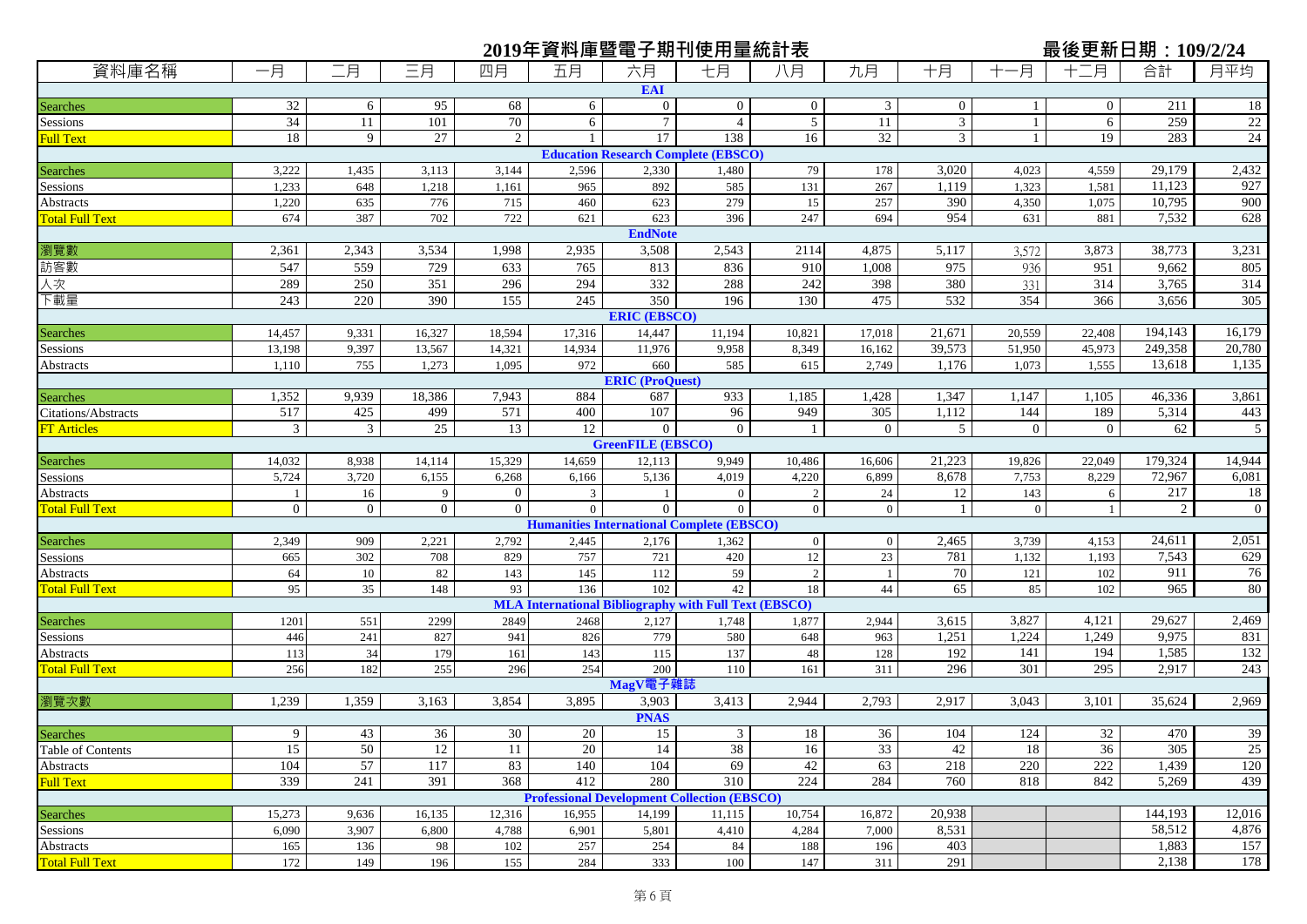|                             |                 |                |                     |                                  |                |                          | 2019年資料庫暨電子期刊使用量統計表                                          |                |                  |                |                | <u>最後更新日期:109/2/24</u> |                |                   |
|-----------------------------|-----------------|----------------|---------------------|----------------------------------|----------------|--------------------------|--------------------------------------------------------------|----------------|------------------|----------------|----------------|------------------------|----------------|-------------------|
| 資料庫名稱                       | 一月              | 二月             | 三月                  | 四月                               | 五月             | 六月                       | 七月                                                           | 八月             | 九月               | 十月             | -月             | 十二月                    | 合計             | 月平均               |
|                             |                 |                |                     |                                  |                | <b>EAI</b>               |                                                              |                |                  |                |                |                        |                |                   |
| Searches                    | 32              | 6              | 95                  | 68                               | 6              | $\overline{0}$           | $\overline{0}$                                               | $\overline{0}$ | 3                | $\overline{0}$ |                | $\overline{0}$         | 211            | 18                |
| Sessions                    | $\overline{34}$ | 11             | 101                 | 70                               | 6              | $\tau$                   | $\overline{4}$                                               | $\overline{5}$ | 11               | $\mathfrak{Z}$ | $\mathbf{1}$   | 6                      | 259            | 22                |
| <b>Full Text</b>            | 18              | 9              | 27                  | $\overline{2}$                   |                | 17                       | 138                                                          | 16             | 32               | 3              | $\mathbf{1}$   | 19                     | 283            | 24                |
|                             |                 |                |                     |                                  |                |                          | <b>Education Research Complete (EBSCO)</b>                   |                |                  |                |                |                        |                |                   |
| Searches                    | 3,222           | 1,435          | 3,113               | 3,144                            | 2,596          | 2,330                    | 1,480                                                        | 79             | 178              | 3,020          | 4,023          | 4,559                  | 29,179         | 2,432             |
| Sessions                    | 1,233           | 648            | 1,218               | 1,161                            | 965            | 892                      | 585                                                          | 131            | 267              | 1,119          | 1,323          | 1,581                  | 11,123         | 927               |
| Abstracts                   | 1,220           | 635            | 776                 | 715                              | 460            | 623                      | 279                                                          | 15             | 257              | 390            | 4,350          | 1,075                  | 10,795         | 900               |
| <b>Total Full Text</b>      | 674             | 387            | 702                 | 722                              | 621            | 623                      | 396                                                          | 247            | 694              | 954            | 631            | 881                    | 7,532          | 628               |
|                             |                 |                |                     |                                  |                | <b>EndNote</b>           |                                                              |                |                  |                |                |                        |                |                   |
| 瀏覽數                         | 2,361           | 2,343          | 3,534               | 1,998                            | 2,935          | 3,508                    | 2,543                                                        | 2114           | 4,875            | 5,117          | 3,572          | 3,873                  | 38,773         | 3,231             |
| 訪客數                         | 547             | 559            | 729                 | 633                              | 765            | 813                      | 836                                                          | 910            | 1,008            | 975            | 936            | 951                    | 9,662          | 805               |
| 人次                          | 289             | 250            | 351                 | 296                              | 294            | 332                      | 288                                                          | 242            | 398              | 380            | 331            | 314                    | 3,765          | 314               |
| 下載量                         | 243             | 220            | 390                 | 155                              | 245            | 350                      | 196                                                          | 130            | 475              | 532            | 354            | 366                    | 3,656          | 305               |
|                             |                 |                |                     |                                  |                | <b>ERIC (EBSCO)</b>      |                                                              |                |                  |                |                |                        |                |                   |
| Searches                    | 14,457          | 9,331          | 16,327              | 18,594                           | 17,316         | 14,447                   | 11,194                                                       | 10,821         | 17,018           | 21,671         | 20,559         | 22,408                 | 194,143        | 16,179            |
| Sessions                    | 13,198          | 9,397          | 13,567              | 14,321                           | 14,934         | 11,976                   | 9,958                                                        | 8,349          | 16,162           | 39,573         | 51,950         | 45,973                 | 249,358        | 20,780            |
| Abstracts                   | 1,110           | 755            | 1,273               | 1,095                            | 972            | 660                      | 585                                                          | 615            | 2,749            | 1,176          | 1,073          | 1,555                  | 13,618         | 1,135             |
|                             |                 |                |                     |                                  |                | <b>ERIC (ProQuest)</b>   |                                                              |                |                  |                |                |                        |                |                   |
| <b>Searches</b>             | 1,352           | 9,939          | 18,386              | 7,943                            | 884            | 687                      | 933                                                          | 1,185          | 1,428            | 1,347          | 1,147          | 1,105                  | 46,336         | 3,861             |
| Citations/Abstracts         | 517             | 425            | 499                 | 571                              | 400            | 107                      | 96                                                           | 949            | $\overline{305}$ | 1,112          | 144            | 189                    | 5,314          | 443               |
| <b>FT Articles</b>          | $\mathfrak{Z}$  | $\mathfrak{Z}$ | 25                  | 13                               | 12             | $\overline{0}$           | $\overline{0}$                                               | -1             | $\overline{0}$   | 5              | $\overline{0}$ | $\boldsymbol{0}$       | 62             | 5                 |
|                             |                 |                |                     |                                  |                | <b>GreenFILE (EBSCO)</b> |                                                              |                |                  |                |                |                        |                |                   |
| Searches                    | 14,032          | 8,938          | 14,114              | 15,329                           | 14,659         | 12,113                   | 9,949                                                        | 10,486         | 16,606           | 21,223         | 19,826         | 22,049                 | 179,324        | 14,944            |
| Sessions                    | 5,724           | 3,720          | 6,155               | 6,268                            | 6,166          | 5,136                    | 4,019                                                        | 4,220          | 6,899            | 8,678          | 7,753          | 8,229                  | 72,967         | 6,081             |
| Abstracts                   | $\overline{1}$  | 16             | 9<br>$\overline{0}$ | $\overline{0}$<br>$\overline{0}$ | 3              | $\overline{0}$           | $\overline{0}$                                               | $\overline{2}$ | 24               | 12             | 143            | 6                      | 217            | 18<br>$\mathbf 0$ |
| <b>Total Full Text</b>      | $\overline{0}$  | $\overline{0}$ |                     |                                  | $\overline{0}$ |                          | $\mathbf{0}$                                                 | $\mathbf{0}$   | $\mathbf{0}$     | $\overline{1}$ | $\mathbf{0}$   |                        | $\overline{2}$ |                   |
|                             | 2,349           | 909            | 2,221               | 2,792                            |                |                          | <b>Humanities International Complete (EBSCO)</b>             | $\mathbf{0}$   | $\boldsymbol{0}$ | 2,465          | 3,739          | 4,153                  | 24,61          | 2,051             |
| <b>Searches</b><br>Sessions | 665             | 302            | 708                 | 829                              | 2,445<br>757   | 2,176<br>721             | 1,362<br>420                                                 | 12             | $23\,$           | 781            | 1,132          | 1,193                  | 7,543          | 629               |
| Abstracts                   | 64              | 10             | 82                  | 143                              | 145            | 112                      | 59                                                           | $\overline{2}$ | -1               | 70             | 121            | 102                    | 911            | 76                |
| <b>Total Full Text</b>      | 95              | 35             | 148                 | 93                               | 136            | 102                      | 42                                                           | 18             | 44               | 65             | 85             | 102                    | 965            | 80                |
|                             |                 |                |                     |                                  |                |                          | <b>MLA International Bibliography with Full Text (EBSCO)</b> |                |                  |                |                |                        |                |                   |
| <b>Searches</b>             | 1201            | 551            | 2299                | 2849                             | 2468           | 2,127                    | 1,748                                                        | 1,877          | 2,944            | 3,615          | 3,827          | 4,121                  | 29,627         | 2,469             |
| Sessions                    | 446             | 241            | 827                 | 941                              | 826            | 779                      | 580                                                          | 648            | 963              | 1,251          | 1,224          | 1,249                  | 9,975          | 831               |
| <b>Abstracts</b>            | 113             | 34             | 179                 | 161                              | 143            | 115                      | 137                                                          | 48             | 128              | 192            | 141            | 194                    | 1,585          | 132               |
| <b>Total Full Text</b>      | 256             | 182            | 255                 | 296                              | 254            | 200                      | 110                                                          | 161            | 311              | 296            | 301            | 295                    | 2,917          | 243               |
|                             |                 |                |                     |                                  |                | MagV電子雜誌                 |                                                              |                |                  |                |                |                        |                |                   |
| 瀏覽次數                        | 1,239           | 1,359          | 3,163               | 3,854                            | 3,895          | 3,903                    | 3,413                                                        | 2,944          | 2,793            | 2,917          | 3,043          | 3,101                  | 35,624         | 2,969             |
|                             |                 |                |                     |                                  |                | <b>PNAS</b>              |                                                              |                |                  |                |                |                        |                |                   |
| <b>Searches</b>             | 9               | 43             | 36                  | 30                               | 20             | 15                       | 3 <sup>1</sup>                                               | 18             | 36               | 104            | 124            | 32                     | 470            | 39                |
| Table of Contents           | 15              | 50             | 12                  | 11                               | 20             | 14                       | 38                                                           | 16             | 33               | 42             | 18             | 36                     | 305            | 25                |
| Abstracts                   | 104             | 57             | 117                 | 83                               | 140            | 104                      | 69                                                           | 42             | 63               | 218            | 220            | 222                    | 1,439          | 120               |
| <b>Full Text</b>            | 339             | 241            | 391                 | 368                              | 412            | 280                      | 310                                                          | 224            | 284              | 760            | 818            | 842                    | 5,269          | 439               |
|                             |                 |                |                     |                                  |                |                          | <b>Professional Development Collection (EBSCO)</b>           |                |                  |                |                |                        |                |                   |
| <b>Searches</b>             | 15,273          | 9,636          | 16,135              | 12,316                           | 16,955         | 14,199                   | 11,115                                                       | 10,754         | 16,872           | 20,938         |                |                        | 144,193        | 12,016            |
| Sessions                    | 6,090           | 3,907          | 6,800               | 4,788                            | 6,901          | 5,801                    | 4,410                                                        | 4,284          | 7,000            | 8,531          |                |                        | 58,512         | 4,876             |
| <b>Abstracts</b>            | 165             | 136            | 98                  | 102                              | 257            | 254                      | 84                                                           | 188            | 196              | 403            |                |                        | 1,883          | 157               |
| <b>Total Full Text</b>      | 172             | 149            | 196                 | 155                              | 284            | 333                      | 100                                                          | 147            | 311              | 291            |                |                        | 2,138          | 178               |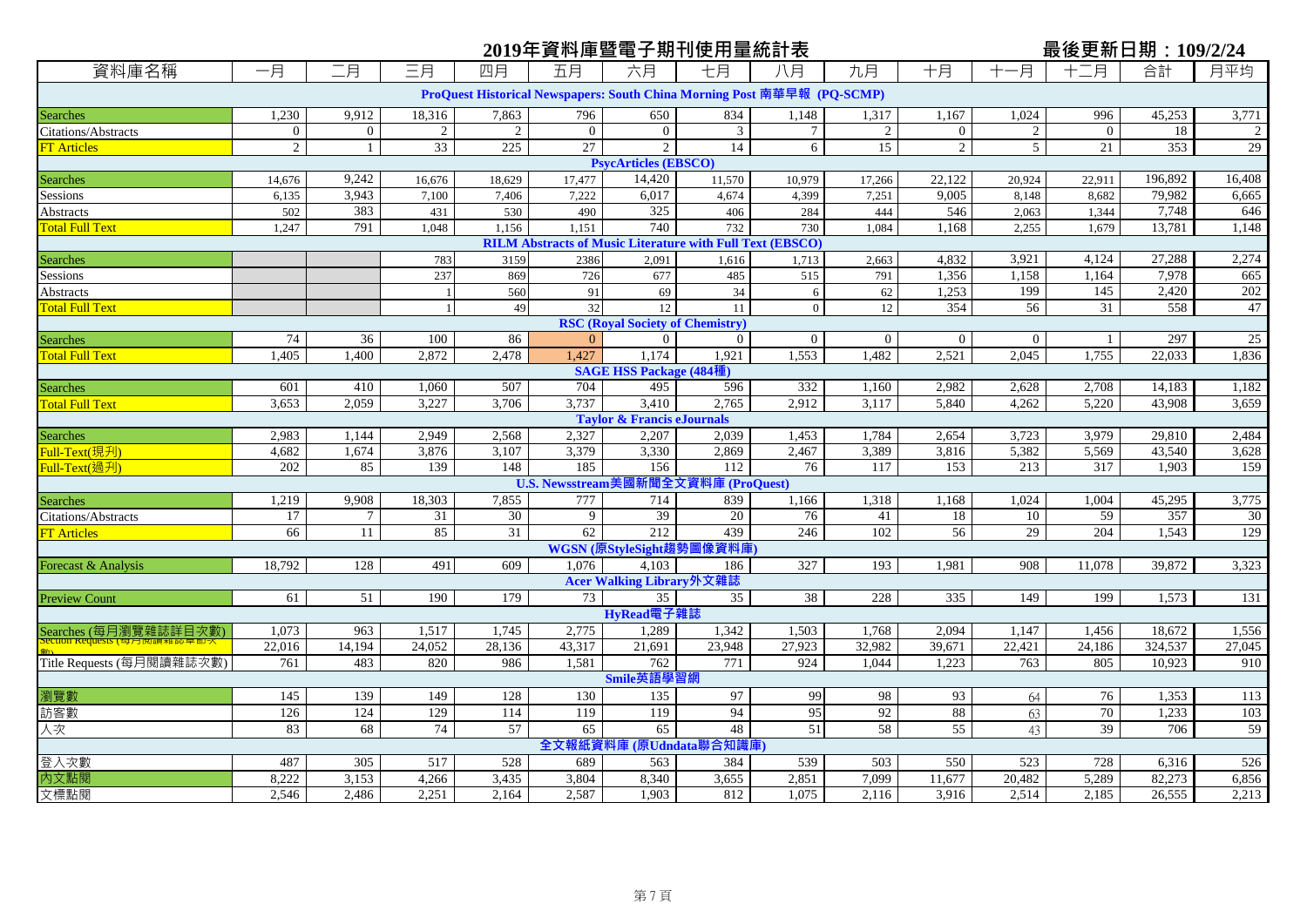## **2019年資料庫暨電子期刊使用量統計表 最後更新日期:109/2/24**

| 資料庫名稱                      | 一月           | 二月           | 三月             | 四月     | 五月                                                               | 六月                                      | 七月             | 八月                                                                      | 九月             | 十月               | 一月             | 月                | 合計      | 月平均            |
|----------------------------|--------------|--------------|----------------|--------|------------------------------------------------------------------|-----------------------------------------|----------------|-------------------------------------------------------------------------|----------------|------------------|----------------|------------------|---------|----------------|
|                            |              |              |                |        |                                                                  |                                         |                | ProQuest Historical Newspapers: South China Morning Post 南華早報 (PQ-SCMP) |                |                  |                |                  |         |                |
| <b>Searches</b>            | 1,230        | 9,912        | 18,316         | 7,863  | 796                                                              | 650                                     | 834            | 1,148                                                                   | 1,317          | 1,167            | 1,024          | 996              | 45,253  | 3,771          |
| <b>Citations/Abstracts</b> | $\mathbf{0}$ | $\mathbf{0}$ | $\overline{2}$ | 2      | $\mathbf{0}$                                                     | $\overline{0}$                          | 3              | $\tau$                                                                  | $\overline{2}$ | $\boldsymbol{0}$ | $\overline{2}$ | $\mathbf{0}$     | 18      | $\overline{2}$ |
| <b>FT Articles</b>         | $\sqrt{2}$   | $\mathbf{1}$ | 33             | 225    | 27                                                               | 2                                       | 14             | 6                                                                       | 15             | $\sqrt{2}$       | 5              | 21               | 353     | 29             |
|                            |              |              |                |        |                                                                  | <b>PsycArticles (EBSCO)</b>             |                |                                                                         |                |                  |                |                  |         |                |
| <b>Searches</b>            | 14,676       | 9,242        | 16,676         | 18,629 | 17.477                                                           | 14,420                                  | 11,570         | 10,979                                                                  | 17,266         | 22,122           | 20,924         | 22,911           | 196,892 | 16,408         |
| Sessions                   | 6,135        | 3,943        | 7,100          | 7,406  | 7,222                                                            | 6,017                                   | 4,674          | 4,399                                                                   | 7,251          | 9,005            | 8,148          | 8,682            | 79,982  | 6,665          |
| <b>Abstracts</b>           | 502          | 383          | 431            | 530    | 490                                                              | 325                                     | 406            | 284                                                                     | 444            | 546              | 2.063          | 1.344            | 7.748   | 646            |
| <b>Total Full Text</b>     | 1,247        | 791          | 1,048          | 1,156  | 1,151                                                            | 740                                     | 732            | 730                                                                     | 1,084          | 1,168            | 2,255          | 1,679            | 13,781  | 1,148          |
|                            |              |              |                |        | <b>RILM Abstracts of Music Literature with Full Text (EBSCO)</b> |                                         |                |                                                                         |                |                  |                |                  |         |                |
| <b>Searches</b>            |              |              | 783            | 3159   | 2386                                                             | 2,091                                   | 1,616          | 1,713                                                                   | 2,663          | 4,832            | 3,921          | 4,124            | 27,288  | 2,274          |
| Sessions                   |              |              | 237            | 869    | 726                                                              | 677                                     | 485            | 515                                                                     | 791            | 1,356            | 1,158          | 1,164            | 7,978   | 665            |
| Abstracts                  |              |              |                | 560    | 91                                                               | 69                                      | 34             | 6                                                                       | 62             | 1,253            | 199            | $\overline{145}$ | 2,420   | 202            |
| <b>Total Full Text</b>     |              |              |                | 49     | 32                                                               | 12                                      | 11             | $\theta$                                                                | 12             | 354              | 56             | 31               | 558     | 47             |
|                            |              |              |                |        |                                                                  | <b>RSC (Royal Society of Chemistry)</b> |                |                                                                         |                |                  |                |                  |         |                |
| <b>Searches</b>            | 74           | 36           | 100            | 86     | $\Omega$                                                         | $\overline{0}$                          | $\overline{0}$ | $\mathbf{0}$                                                            | $\overline{0}$ | $\boldsymbol{0}$ | $\overline{0}$ |                  | 297     | 25             |
| <b>Total Full Text</b>     | 1,405        | 1,400        | 2,872          | 2,478  | 1,427                                                            | 1.174                                   | 1,921          | 1,553                                                                   | 1,482          | 2,521            | 2,045          | 1,755            | 22,033  | 1,836          |
|                            |              |              |                |        |                                                                  | <b>SAGE HSS Package (484種)</b>          |                |                                                                         |                |                  |                |                  |         |                |
| Searches                   | 601          | 410          | 1,060          | 507    | 704                                                              | 495                                     | 596            | 332                                                                     | 1,160          | 2,982            | 2,628          | 2,708            | 14,183  | 1,182          |
| <b>Total Full Text</b>     | 3,653        | 2,059        | 3,227          | 3,706  | 3,737                                                            | 3,410                                   | 2,765          | 2,912                                                                   | 3,117          | 5,840            | 4,262          | 5,220            | 43,908  | 3,659          |
|                            |              |              |                |        |                                                                  | <b>Taylor &amp; Francis eJournals</b>   |                |                                                                         |                |                  |                |                  |         |                |
| <b>Searches</b>            | 2,983        | 1,144        | 2,949          | 2,568  | 2,327                                                            | 2,207                                   | 2,039          | 1,453                                                                   | 1,784          | 2,654            | 3,723          | 3,979            | 29,810  | 2,484          |
| Full-Text(現刋)              | 4,682        | 1,674        | 3,876          | 3,107  | 3,379                                                            | 3,330                                   | 2,869          | 2,467                                                                   | 3,389          | 3,816            | 5,382          | 5,569            | 43,540  | 3,628          |
| Full-Text(過刋)              | 202          | 85           | 139            | 148    | 185                                                              | 156                                     | 112            | 76                                                                      | 117            | 153              | 213            | 317              | 1,903   | 159            |
|                            |              |              |                |        | U.S. Newsstream美國新聞全文資料庫 (ProQuest)                              |                                         |                |                                                                         |                |                  |                |                  |         |                |
| <b>Searches</b>            | 1,219        | 9,908        | 18,303         | 7,855  | 777                                                              | 714                                     | 839            | 1,166                                                                   | 1,318          | 1,168            | 1,024          | 1,004            | 45,295  | 3,775          |
| Citations/Abstracts        | 17           | $\tau$       | 31             | 30     | 9                                                                | 39                                      | 20             | 76                                                                      | 41             | 18               | 10             | 59               | 357     | 30             |
| <b>FT Articles</b>         | 66           | 11           | 85             | 31     | 62                                                               | 212                                     | 439            | 246                                                                     | 102            | $\overline{56}$  | 29             | 204              | 1,543   | 129            |
|                            |              |              |                |        |                                                                  | WGSN (原StyleSight趨勢圖像資料庫                |                |                                                                         |                |                  |                |                  |         |                |
| Forecast & Analysis        | 18,792       | 128          | 491            | 609    | 1.076                                                            | 4,103                                   | 186            | 327                                                                     | 193            | 1,981            | 908            | 11,078           | 39,872  | 3,323          |
|                            |              |              |                |        |                                                                  | Acer Walking Library外文雜誌                |                |                                                                         |                |                  |                |                  |         |                |
| <b>Preview Count</b>       | 61           | 51           | 190            | 179    | 73                                                               | 35                                      | 35             | 38                                                                      | 228            | 335              | 149            | 199              | 1.573   | 131            |
|                            |              |              |                |        |                                                                  | HyRead電子雜誌                              |                |                                                                         |                |                  |                |                  |         |                |
| Searches (每月瀏覽雜誌詳目次數)      | 1,073        | 963          | 1,517          | 1,745  | 2,775                                                            | 1,289                                   | 1,342          | 1,503                                                                   | 1,768          | 2,094            | 1,147          | 1,456            | 18,672  | 1,556          |
|                            | 22,016       | 14,194       | 24,052         | 28,136 | 43,317                                                           | 21,691                                  | 23,948         | 27,923                                                                  | 32,982         | 39,671           | 22,421         | 24,186           | 324,537 | 27,045         |
| Title Requests (每月閱讀雜誌次數)  | 761          | 483          | 820            | 986    | 1,581                                                            | 762                                     | 771            | 924                                                                     | 1,044          | 1,223            | 763            | 805              | 10,923  | 910            |
|                            |              |              |                |        |                                                                  | Smile英語學習網                              |                |                                                                         |                |                  |                |                  |         |                |
| 瀏覽數                        | 145          | 139          | 149            | 128    | 130                                                              | 135                                     | 97             | 99                                                                      | 98             | 93               | 64             | 76               | 1,353   | 113            |
| 訪客數                        | 126          | 124          | 129            | 114    | 119                                                              | 119                                     | 94             | 95                                                                      | 92             | 88               | 63             | 70               | 1,233   | 103            |
| 人次                         | 83           | 68           | 74             | 57     | 65                                                               | 65                                      | 48             | 51                                                                      | 58             | 55               | 43             | 39               | 706     | 59             |
|                            |              |              |                |        | 全文報紙資                                                            | 料庫 (原Udndata聯合知識庫                       |                |                                                                         |                |                  |                |                  |         |                |
| 登入次數                       | 487          | 305          | 517            | 528    | 689                                                              | 563                                     | 384            | 539                                                                     | 503            | 550              | 523            | 728              | 6,316   | 526            |
| 内文點閱                       | 8,222        | 3,153        | 4,266          | 3,435  | 3,804                                                            | 8,340                                   | 3,655          | 2,851                                                                   | 7,099          | 11,677           | 20,482         | 5,289            | 82,273  | 6,856          |
| 文標點閱                       | 2,546        | 2,486        | 2,251          | 2,164  | 2,587                                                            | 1,903                                   | 812            | 1,075                                                                   | 2,116          | 3,916            | 2,514          | 2,185            | 26,555  | 2,213          |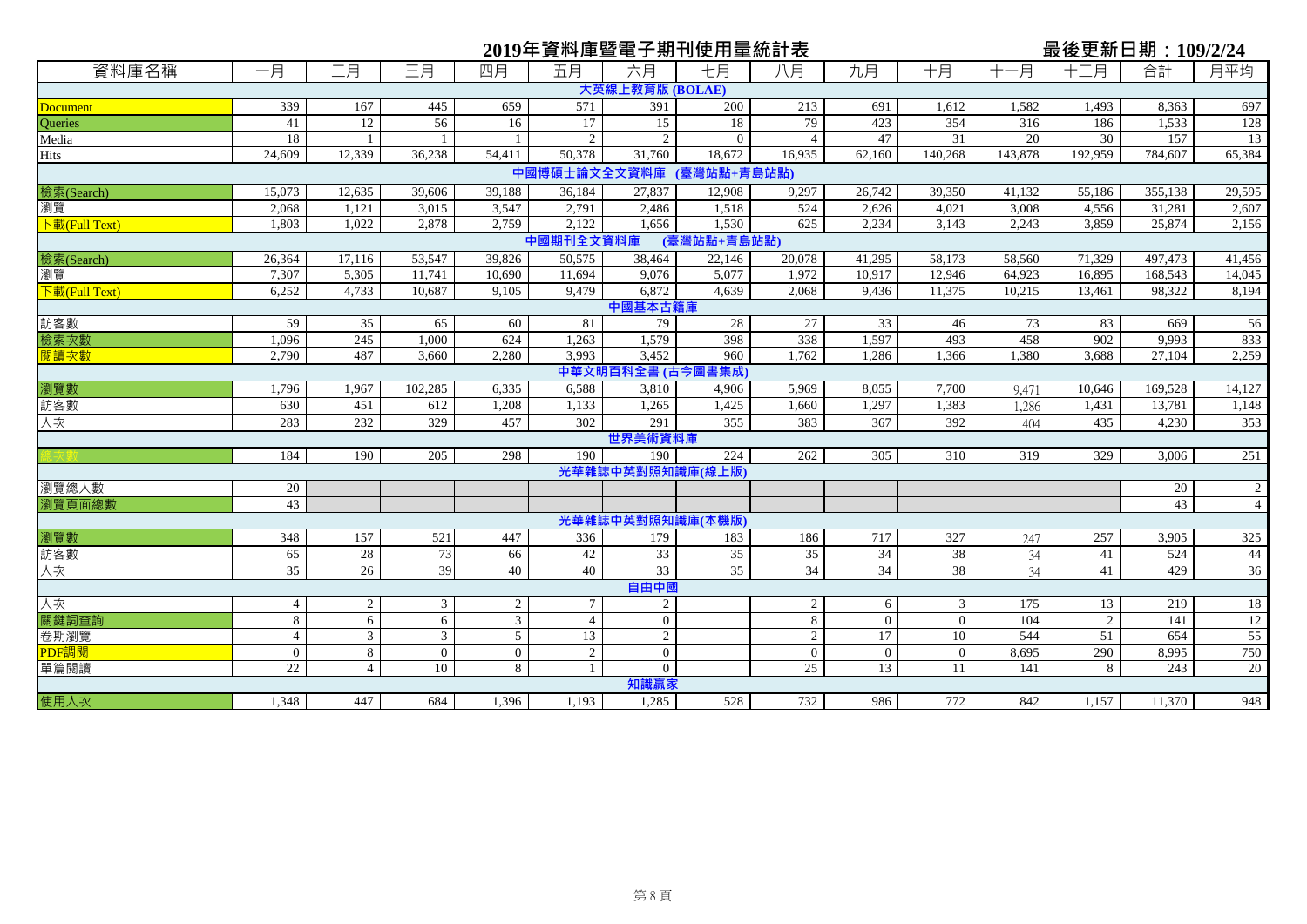|                                       |                 |                |                |                | 2019年資料庫暨電子期刊使用量統計表      |                        |             |                |                |                |         | 最後更新日期: 109/2/24 |         |                |
|---------------------------------------|-----------------|----------------|----------------|----------------|--------------------------|------------------------|-------------|----------------|----------------|----------------|---------|------------------|---------|----------------|
| 資料庫名稱                                 | 一月              | 二月             | 三月             | 四月             | 五月                       | 六月                     | 七月          | 八月             | 九月             | 十月             | 十一月     | 十二月              | 合計      | 月平均            |
|                                       |                 |                |                |                |                          | 大英線上教育版 (BOLAE)        |             |                |                |                |         |                  |         |                |
| <b>Document</b>                       | 339             | 167            | 445            | 659            | 571                      | 391                    | 200         | 213            | 691            | 1,612          | 1,582   | 1,493            | 8,363   | 697            |
| Queries                               | 41              | 12             | 56             | 16             | 17                       | $\overline{15}$        | 18          | 79             | 423            | 354            | 316     | 186              | 1,533   | 128            |
| Media                                 | 18              | $\overline{1}$ |                |                | $\mathfrak{D}$           | $\mathcal{D}_{\alpha}$ | $\Omega$    | $\overline{4}$ | 47             | 31             | 20      | 30               | 157     | 13             |
| <b>Hits</b>                           | 24,609          | 12,339         | 36,238         | 54,411         | 50.378                   | 31,760                 | 18,672      | 16,935         | 62,160         | 140,268        | 143,878 | 192,959          | 784,607 | 65,384         |
|                                       |                 |                |                |                | 中國博碩士論文全文資料庫 (臺灣站點+青島站點) |                        |             |                |                |                |         |                  |         |                |
| 檢索(Search)                            | 15,073          | 12,635         | 39,606         | 39,188         | 36,184                   | 27,837                 | 12,908      | 9,297          | 26,742         | 39,350         | 41,132  | 55,186           | 355,138 | 29,595         |
| 瀏覽                                    | 2,068           | 1,121          | 3,015          | 3,547          | 2,791                    | 2,486                  | 1,518       | 524            | 2,626          | 4,021          | 3,008   | 4,556            | 31,281  | 2,607          |
| 下載(Full Text)                         | 1,803           | 1,022          | 2,878          | 2,759          | 2,122                    | 1,656                  | 1,530       | 625            | 2,234          | 3,143          | 2,243   | 3,859            | 25,874  | 2,156          |
|                                       |                 |                |                |                | 中國期刊全文資料庫                |                        | (臺灣站點+青島站點) |                |                |                |         |                  |         |                |
| 檢索(Search)                            | 26,364          | 17,116         | 53,547         | 39,826         | 50,575                   | 38,464                 | 22,146      | 20,078         | 41,295         | 58,173         | 58,560  | 71,329           | 497,473 | 41,456         |
| 瀏覽                                    | 7,307           | 5,305          | 11,741         | 10,690         | 11,694                   | 9,076                  | 5,077       | 1,972          | 10,917         | 12,946         | 64,923  | 16,895           | 168,543 | 14,045         |
| $\overline{\mathcal{F}}$ 載(Full Text) | 6,252           | 4,733          | 10,687         | 9,105          | 9,479                    | 6,872                  | 4,639       | 2,068          | 9,436          | 11,375         | 10,215  | 13,461           | 98,322  | 8,194          |
|                                       |                 |                |                |                |                          | 中國基本古籍庫                |             |                |                |                |         |                  |         |                |
| 訪客數                                   | 59              | 35             | 65             | 60             | 81                       | 79                     | 28          | 27             | 33             | 46             | 73      | 83               | 669     | 56             |
| 檢索次數                                  | 1.096           | 245            | 1.000          | 624            | 1.263                    | 1,579                  | 398         | 338            | 1,597          | 493            | 458     | 902              | 9.993   | 833            |
| 閱讀次數                                  | 2,790           | 487            | 3,660          | 2,280          | 3.993                    | 3,452                  | 960         | 1.762          | 1,286          | 1,366          | 1,380   | 3,688            | 27,104  | 2,259          |
|                                       |                 |                |                |                |                          | 中華文明百科全書 (古今圖書集成)      |             |                |                |                |         |                  |         |                |
| 瀏覽數                                   | 1.796           | 1.967          | 102,285        | 6.335          | 6,588                    | 3,810                  | 4.906       | 5.969          | 8.055          | 7.700          | 9,471   | 10.646           | 169.528 | 14,127         |
| 訪客數                                   | 630             | 451            | 612            | 1,208          | 1,133                    | 1,265                  | 1,425       | 1,660          | 1,297          | 1,383          | 1,286   | 1,431            | 13,781  | 1,148          |
| 人次                                    | 283             | 232            | 329            | 457            | 302                      | 291                    | 355         | 383            | 367            | 392            | 404     | 435              | 4,230   | 353            |
|                                       |                 |                |                |                |                          | 世界美術資料庫                |             |                |                |                |         |                  |         |                |
|                                       | 184             | 190            | 205            | 298            | 190                      | 190                    | 224         | 262            | 305            | 310            | 319     | 329              | 3.006   | 251            |
|                                       |                 |                |                |                |                          | 光華雜誌中英對照知識庫(線上版)       |             |                |                |                |         |                  |         |                |
| 瀏覽總人數                                 | 20              |                |                |                |                          |                        |             |                |                |                |         |                  | 20      | $\overline{c}$ |
| 瀏覽頁面總數                                | 43              |                |                |                |                          |                        |             |                |                |                |         |                  | 43      | $\overline{4}$ |
|                                       |                 |                |                |                |                          | 光華雜誌中英對照知識庫(本機版)       |             |                |                |                |         |                  |         |                |
| 瀏覽數                                   | 348             | 157            | 521            | 447            | 336                      | 179                    | 183         | 186            | 717            | 327            | 247     | 257              | 3,905   | 325            |
| 訪客數                                   | 65              | 28             | 73             | 66             | 42                       | 33                     | 35          | 35             | 34             | 38             | 34      | 41               | 524     | 44             |
| 人次                                    | 35              | 26             | 39             | 40             | 40                       | 33                     | 35          | 34             | 34             | 38             | 34      | 41               | 429     | 36             |
|                                       |                 |                |                |                |                          | 自由中國                   |             |                |                |                |         |                  |         |                |
| 人次                                    | $\overline{4}$  | 2              | $\mathfrak{Z}$ | 2              | $7\overline{ }$          | 2                      |             | 2              | 6              | $\overline{3}$ | 175     | 13               | 219     | 18             |
| 關鍵詞查詢                                 | 8               | 6              | 6              | $\mathbf{3}$   | $\overline{4}$           | $\overline{0}$         |             | 8              | $\theta$       | $\theta$       | 104     | 2                | 141     | 12             |
| 卷期瀏覽                                  | $\overline{4}$  | $\mathfrak{Z}$ | $\mathfrak{Z}$ | $\mathfrak{S}$ | 13                       | 2                      |             | 2              | 17             | 10             | 544     | 51               | 654     | 55             |
| PDF調閱                                 | $\overline{0}$  | 8              | $\overline{0}$ | $\overline{0}$ | $\overline{c}$           | $\overline{0}$         |             | $\mathbf{0}$   | $\overline{0}$ | $\overline{0}$ | 8,695   | 290              | 8,995   | 750            |
| 單篇閱讀                                  | $\overline{22}$ | $\overline{4}$ | 10             | 8              | $\mathbf{1}$             | $\Omega$               |             | 25             | 13             | 11             | 141     | 8                | 243     | 20             |
|                                       |                 |                |                |                |                          | 知識贏家                   |             |                |                |                |         |                  |         |                |
| 使用人次                                  | 1,348           | 447            | 684            | 1,396          | 1,193                    | 1,285                  | 528         | 732            | 986            | 772            | 842     | 1,157            | 11,370  | 948            |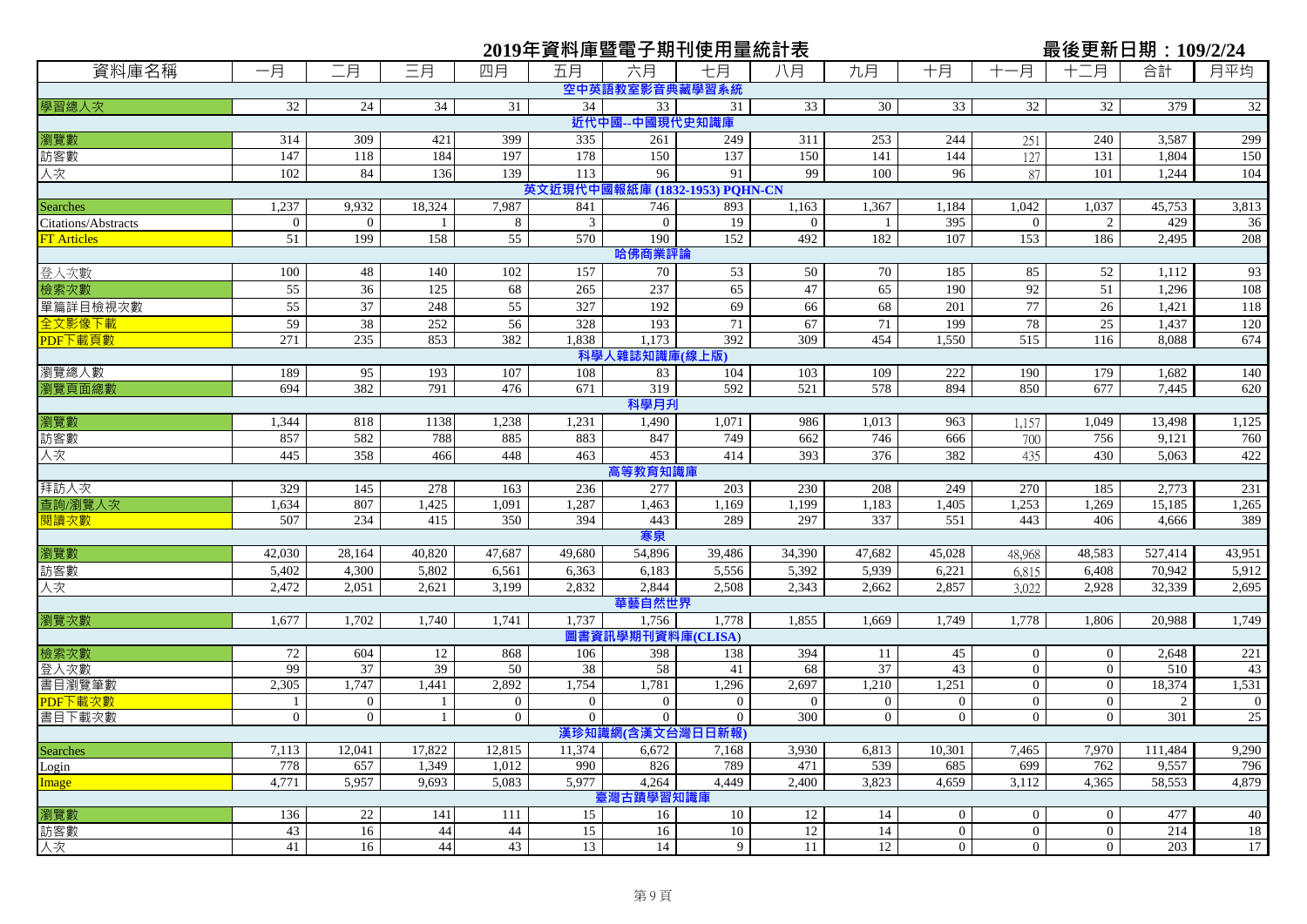|                     |                |                |        |                 | 2019年資料庫暨電子期刊使用量統計表            |                   |                  |                |                |                |                | 最後更新日期: 109/2/24 |         |             |
|---------------------|----------------|----------------|--------|-----------------|--------------------------------|-------------------|------------------|----------------|----------------|----------------|----------------|------------------|---------|-------------|
| 資料庫名稱               | 一月             | 二月             | 三月     | 四月              | 五月                             | 六月                | 七月               | 八月             | 九月             | 十月             | 十一月            | 十二月              | 合計      | 月平均         |
|                     |                |                |        |                 |                                | 空中英語教室影音典藏學習系統    |                  |                |                |                |                |                  |         |             |
| 學習總人次               | 32             | 24             | 34     | 31              | 34                             | 33                | 31               | 33             | 30             | 33             | 32             | 32               | 379     | 32          |
|                     |                |                |        |                 |                                | 近代中國--中國現代史知識庫    |                  |                |                |                |                |                  |         |             |
| 瀏覽數                 | 314            | 309            | 421    | 399             | 335                            | 261               | 249              | 311            | 253            | 244            | 251            | 240              | 3,587   | 299         |
| 訪客數                 | 147            | 118            | 184    | 197             | 178                            | 150               | 137              | 150            | 141            | 144            | 127            | 131              | 1,804   | 150         |
| 人次                  | 102            | 84             | 136    | 139             | 113                            | 96                | 91               | 99             | 100            | 96             | 87             | 101              | 1,244   | 104         |
|                     |                |                |        |                 | 英文近現代中國報紙庫 (1832-1953) PQHN-CN |                   |                  |                |                |                |                |                  |         |             |
| <b>Searches</b>     | 1,237          | 9,932          | 18,324 | 7,987           | 841                            | 746               | 893              | 1,163          | 1,367          | 1,184          | 1,042          | 1,037            | 45,753  | 3,813       |
| Citations/Abstracts | $\overline{0}$ | $\overline{0}$ |        | 8               | 3                              | $\overline{0}$    | 19               | $\mathbf{0}$   |                | 395            | $\overline{0}$ | 2                | 429     | 36          |
| <b>FT Articles</b>  | 51             | 199            | 158    | $\overline{55}$ | 570                            | 190               | 152              | 492            | 182            | 107            | 153            | 186              | 2,495   | 208         |
|                     |                |                |        |                 |                                | 哈佛商業評論            |                  |                |                |                |                |                  |         |             |
| 登入次數                | 100            | 48             | 140    | 102             | 157                            | 70                | 53               | 50             | 70             | 185            | 85             | 52               | 1,112   | 93          |
| 檢索次數                | 55             | 36             | 125    | 68              | 265                            | 237               | 65               | 47             | 65             | 190            | 92             | 51               | 1,296   | 108         |
| 單篇詳目檢視次數            | 55             | 37             | 248    | 55              | 327                            | 192               | 69               | 66             | 68             | 201            | 77             | 26               | 1,421   | 118         |
| 全文影像下載              | 59             | 38             | 252    | 56              | 328                            | 193               | 71               | 67             | 71             | 199            | 78             | 25               | 1,437   | 120         |
| PDF下載頁數             | 271            | 235            | 853    | 382             | 1,838                          | 1,173             | 392              | 309            | 454            | 1,550          | 515            | 116              | 8,088   | 674         |
|                     |                |                |        |                 |                                | 科學人雜誌知識庫(線上版)     |                  |                |                |                |                |                  |         |             |
| 瀏覽總人數               | 189            | 95             | 193    | 107             | 108                            | 83                | 104              | 103            | 109            | $222\,$        | 190            | 179              | 1,682   | 140         |
| 瀏覽頁面總數              | 694            | 382            | 791    | 476             | 671                            | 319               | 592              | 521            | 578            | 894            | 850            | 677              | 7,445   | 620         |
|                     |                |                |        |                 |                                | 科學月升              |                  |                |                |                |                |                  |         |             |
| 瀏覽數                 | 1,344          | 818            | 1138   | 1,238           | 1,231                          | 1,490             | 1,071            | 986            | 1,013          | 963            | 1,157          | 1,049            | 13,498  | 1,125       |
| 訪客數                 | 857            | 582            | 788    | 885             | 883                            | 847               | 749              | 662            | 746            | 666            | 700            | 756              | 9,121   | 760         |
| 人次                  | 445            | 358            | 466    | 448             | 463                            | 453               | 414              | 393            | 376            | 382            | 435            | 430              | 5,063   | 422         |
|                     |                |                |        |                 |                                | 高等教育知識庫           |                  |                |                |                |                |                  |         |             |
| 拜訪人次                | 329            | 145            | 278    | 163             | 236                            | 277               | 203              | 230            | 208            | 249            | 270            | 185              | 2,773   | 231         |
| 查詢/瀏覽人次             | 1,634          | 807            | 1,425  | 1,091           | 1,287                          | 1,463             | 1,169            | 1,199          | 1,183          | 1,405          | 1,253          | 1,269            | 15,185  | 1,265       |
| 閱讀次數                | 507            | 234            | 415    | 350             | 394                            | 443               | 289              | 297            | 337            | 551            | 443            | 406              | 4,666   | 389         |
|                     |                |                |        |                 |                                | 寒泉                |                  |                |                |                |                |                  |         |             |
| 瀏覽數                 | 42,030         | 28,164         | 40,820 | 47,687          | 49,680                         | 54,896            | 39,486           | 34,390         | 47,682         | 45,028         | 48,968         | 48,583           | 527,414 | 43,951      |
| 訪客數                 | 5,402          | 4,300          | 5,802  | 6,561           | 6,363                          | 6,183             | 5,556            | 5,392          | 5,939          | 6,221          | 6,815          | 6,408            | 70,942  | 5,912       |
| 人次                  | 2,472          | 2,051          | 2,621  | 3,199           | 2,832                          | 2,844             | 2,508            | 2,343          | 2,662          | 2,857          | 3,022          | 2,928            | 32,339  | 2,695       |
|                     |                |                |        |                 |                                | 華藝自然世界            |                  |                |                |                |                |                  |         |             |
| 瀏覽次數                | 1,677          | 1,702          | 1,740  | 1,741           | 1,737                          | 1,756             | 1,778            | 1,855          | 1,669          | 1,749          | 1,778          | 1,806            | 20,988  | 1,749       |
|                     |                |                |        |                 |                                | 圖書資訊學期刊資料庫(CLISA) |                  |                |                |                |                |                  |         |             |
| 檢索次數                | 72             | 604            | 12     | 868             | 106                            | 398               | 138              | 394            | 11             | 45             | $\overline{0}$ | $\overline{0}$   | 2,648   | 221         |
| 登入次數                | 99             | 37             | 39     | 50              | 38                             | 58                | 41               | 68             | 37             | 43             | $\overline{0}$ | $\mathbf{0}$     | 510     | 43          |
| 書目瀏覽筆數              | 2,305          | 1,747          | 1,441  | 2,892           | 1,754                          | 1,781             | 1,296            | 2,697          | 1,210          | 1,251          | $\overline{0}$ | $\mathbf{0}$     | 18,374  | 1,531       |
| PDF下載次數             |                | $\overline{0}$ |        | $\overline{0}$  | $\mathbf{0}$                   | $\overline{0}$    | $\overline{0}$   | $\overline{0}$ | $\overline{0}$ | $\overline{0}$ | $\overline{0}$ | $\overline{0}$   | 2       | $\mathbf 0$ |
| 書目下載次數              | $\overline{0}$ | $\overline{0}$ |        | $\overline{0}$  | $\overline{0}$                 | $\overline{0}$    | $\overline{0}$   | 300            | $\overline{0}$ | $\mathbf{0}$   | $\overline{0}$ | $\Omega$         | 301     | 25          |
|                     |                |                |        |                 |                                |                   | 漢珍知識網(含漢文台灣日日新報) |                |                |                |                |                  |         |             |
| <b>Searches</b>     | 7,113          | 12,041         | 17,822 | 12,815          | 11,374                         | 6,672             | 7,168            | 3,930          | 6,813          | 10,301         | 7,465          | 7,970            | 111,484 | 9,290       |
| Login               | 778            | 657            | 1,349  | 1,012           | 990                            | 826               | 789              | 471            | 539            | 685            | 699            | 762              | 9,557   | 796         |
| Image               | 4,771          | 5,957          | 9,693  | 5,083           | 5,977                          | 4,264             | 4,449            | 2,400          | 3,823          | 4,659          | 3,112          | 4,365            | 58,553  | 4,879       |
|                     |                |                |        |                 |                                | 臺灣古蹟學習知識庫         |                  |                |                |                |                |                  |         |             |
| 瀏覽數                 | 136            | 22             | 141    | 111             | 15                             | 16                | 10               | 12             | 14             | $\overline{0}$ | $\overline{0}$ | $\boldsymbol{0}$ | 477     | 40          |
| 訪客數                 | 43             | 16             | 44     | 44              | 15                             | 16                | 10               | 12             | 14             | $\overline{0}$ | $\overline{0}$ | $\mathbf{0}$     | 214     | 18          |
| 人次                  | 41             | 16             | 44     | 43              | 13                             | 14                | 9                | 11             | 12             | $\overline{0}$ | $\overline{0}$ | $\overline{0}$   | 203     | 17          |
|                     |                |                |        |                 |                                |                   |                  |                |                |                |                |                  |         |             |